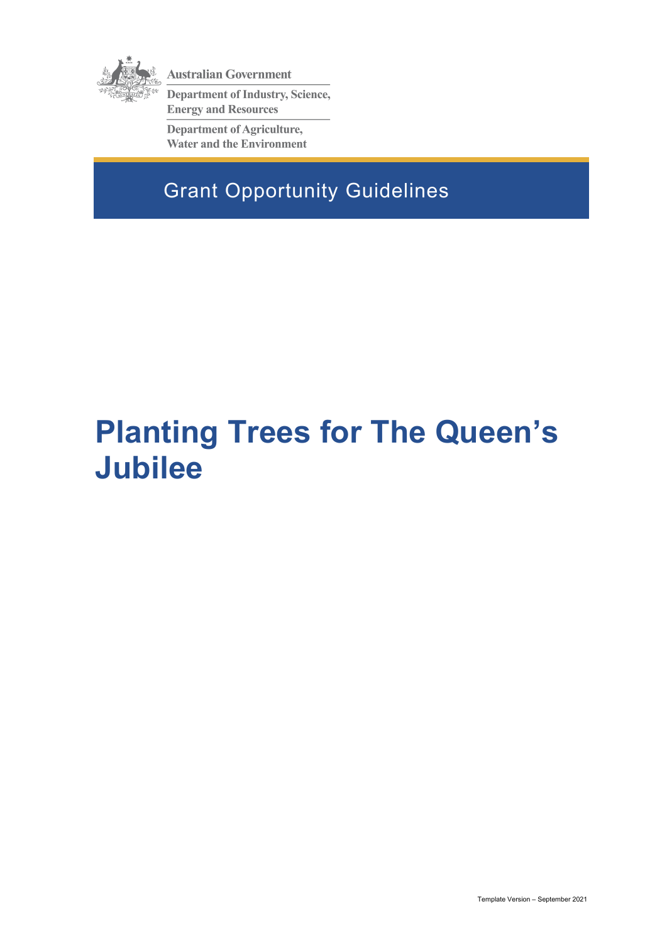

**Australian Government** 

**Department of Industry, Science, Energy and Resources** 

**Department of Agriculture, Water and the Environment** 

Grant Opportunity Guidelines

# **Planting Trees for The Queen's Jubilee**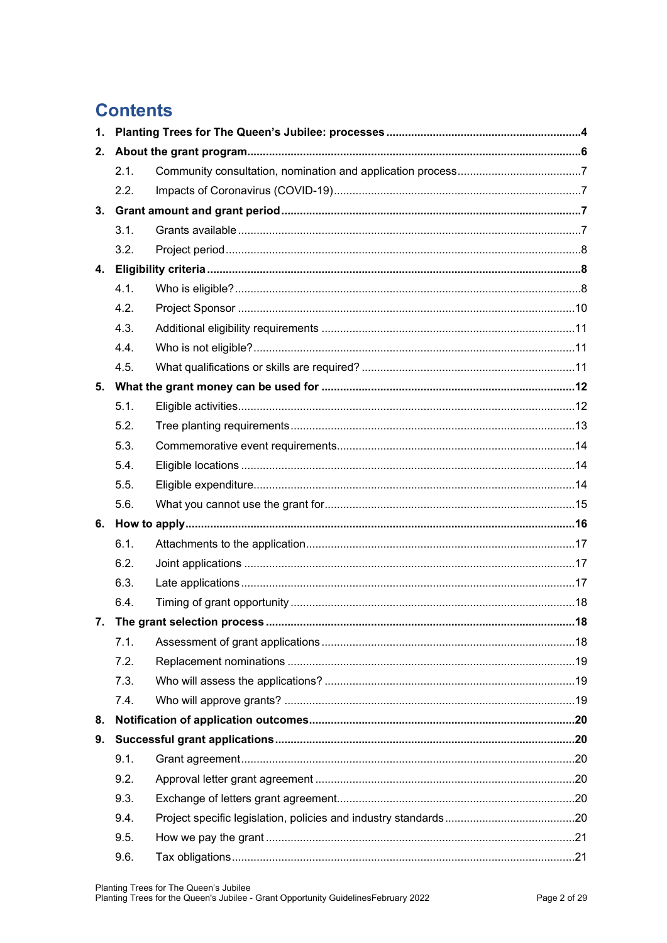# **Contents**

| 1. |                  |  |  |  |
|----|------------------|--|--|--|
| 2. |                  |  |  |  |
|    | 2.1.             |  |  |  |
|    | 2.2 <sub>1</sub> |  |  |  |
| 3. |                  |  |  |  |
|    | 3.1.             |  |  |  |
|    | 3.2.             |  |  |  |
| 4. |                  |  |  |  |
|    | 4.1.             |  |  |  |
|    | 4.2.             |  |  |  |
|    | 4.3.             |  |  |  |
|    | 4.4.             |  |  |  |
|    | 4.5.             |  |  |  |
|    |                  |  |  |  |
|    | 5.1.             |  |  |  |
|    | 5.2.             |  |  |  |
|    | 5.3.             |  |  |  |
|    | 5.4.             |  |  |  |
|    | 5.5.             |  |  |  |
|    | 5.6.             |  |  |  |
|    |                  |  |  |  |
|    | 6.1.             |  |  |  |
|    | 6.2.             |  |  |  |
|    | 6.3.             |  |  |  |
|    | 6.4.             |  |  |  |
|    |                  |  |  |  |
|    | 7.1.             |  |  |  |
|    | 7.2.             |  |  |  |
|    | 7.3.             |  |  |  |
|    | 7.4.             |  |  |  |
| 8. |                  |  |  |  |
| 9. |                  |  |  |  |
|    | 9.1.             |  |  |  |
|    | 9.2.             |  |  |  |
|    | 9.3.             |  |  |  |
|    | 9.4.             |  |  |  |
|    | 9.5.             |  |  |  |
|    | 9.6.             |  |  |  |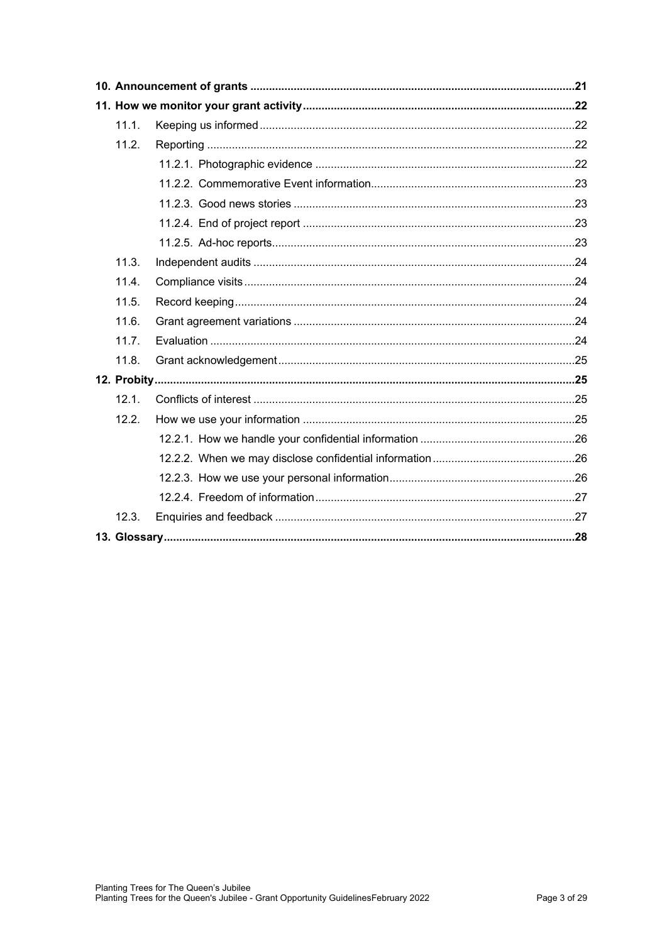|  | 11.1. |  |  |  |  |
|--|-------|--|--|--|--|
|  | 11.2. |  |  |  |  |
|  |       |  |  |  |  |
|  |       |  |  |  |  |
|  |       |  |  |  |  |
|  |       |  |  |  |  |
|  |       |  |  |  |  |
|  | 11.3. |  |  |  |  |
|  | 11.4. |  |  |  |  |
|  | 11.5. |  |  |  |  |
|  | 11.6. |  |  |  |  |
|  | 11.7. |  |  |  |  |
|  | 11.8. |  |  |  |  |
|  |       |  |  |  |  |
|  | 12.1. |  |  |  |  |
|  | 12.2  |  |  |  |  |
|  |       |  |  |  |  |
|  |       |  |  |  |  |
|  |       |  |  |  |  |
|  |       |  |  |  |  |
|  | 12.3. |  |  |  |  |
|  |       |  |  |  |  |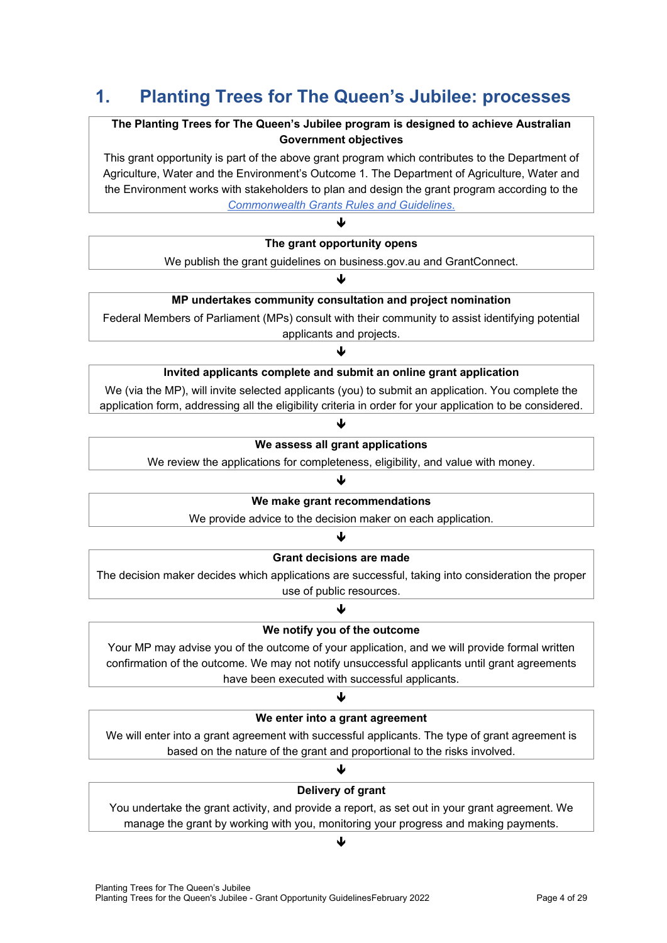# **1. Planting Trees for The Queen's Jubilee: processes**

#### **The Planting Trees for The Queen's Jubilee program is designed to achieve Australian Government objectives**

This grant opportunity is part of the above grant program which contributes to the Department of Agriculture, Water and the Environment's Outcome 1. The Department of Agriculture, Water and the Environment works with stakeholders to plan and design the grant program according to the *[Commonwealth Grants Rules and Guidelines](https://www.finance.gov.au/government/commonwealth-grants/commonwealth-grants-rules-guidelines)*.

#### ↓

**The grant opportunity opens**

We publish the grant guidelines on business.gov.au and GrantConnect.

#### ብ

#### **MP undertakes community consultation and project nomination**

Federal Members of Parliament (MPs) consult with their community to assist identifying potential applicants and projects.

#### ♦

#### **Invited applicants complete and submit an online grant application**

We (via the MP), will invite selected applicants (you) to submit an application. You complete the application form, addressing all the eligibility criteria in order for your application to be considered.

# 山

#### **We assess all grant applications**

We review the applications for completeness, eligibility, and value with money.

#### J

#### **We make grant recommendations**

We provide advice to the decision maker on each application.

#### ♦

#### **Grant decisions are made**

The decision maker decides which applications are successful, taking into consideration the proper use of public resources.

#### ₩ **We notify you of the outcome**

Your MP may advise you of the outcome of your application, and we will provide formal written confirmation of the outcome. We may not notify unsuccessful applicants until grant agreements have been executed with successful applicants.

#### ♦

#### **We enter into a grant agreement**

We will enter into a grant agreement with successful applicants. The type of grant agreement is based on the nature of the grant and proportional to the risks involved.

# ♦

#### **Delivery of grant**

You undertake the grant activity, and provide a report, as set out in your grant agreement. We manage the grant by working with you, monitoring your progress and making payments.

#### ♦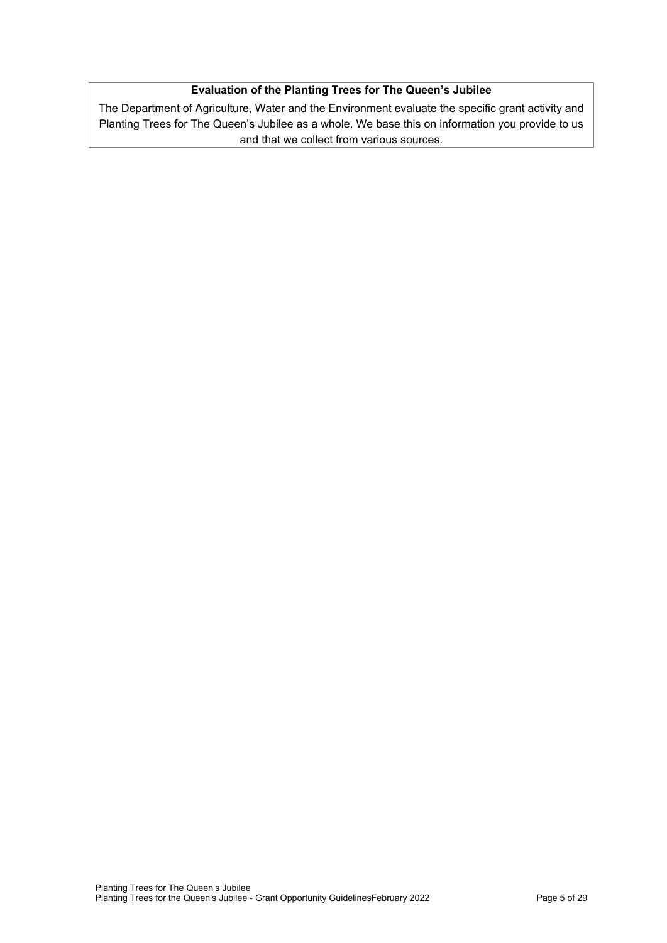#### **Evaluation of the Planting Trees for The Queen's Jubilee**

The Department of Agriculture, Water and the Environment evaluate the specific grant activity and Planting Trees for The Queen's Jubilee as a whole. We base this on information you provide to us and that we collect from various sources.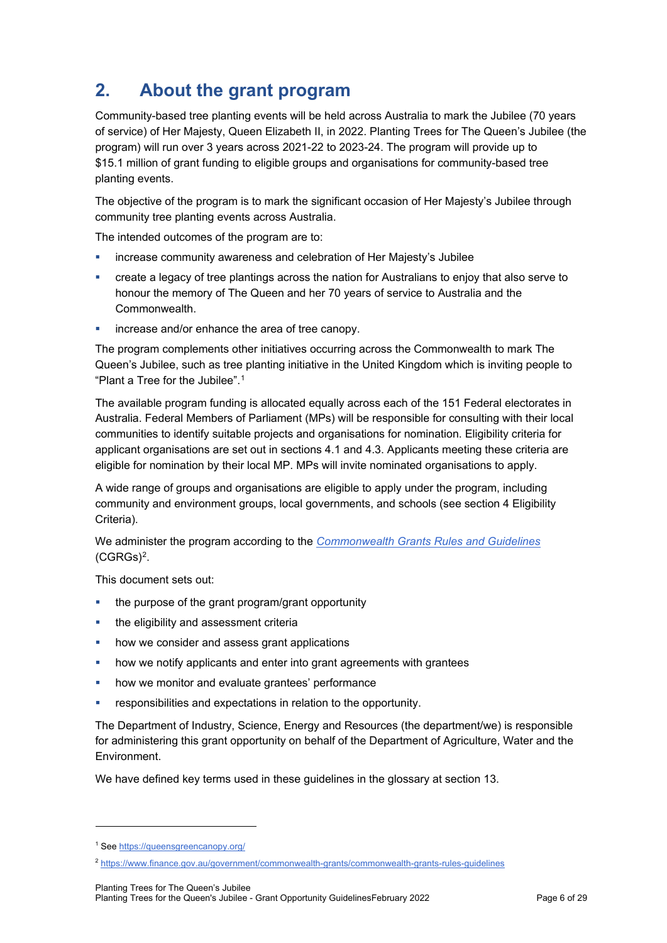# <span id="page-5-2"></span>**2. About the grant program**

Community-based tree planting events will be held across Australia to mark the Jubilee (70 years of service) of Her Majesty, Queen Elizabeth II, in 2022. Planting Trees for The Queen's Jubilee (the program) will run over 3 years across 2021-22 to 2023-24. The program will provide up to \$15.1 million of grant funding to eligible groups and organisations for community-based tree planting events.

The objective of the program is to mark the significant occasion of Her Majesty's Jubilee through community tree planting events across Australia.

The intended outcomes of the program are to:

- increase community awareness and celebration of Her Majesty's Jubilee
- create a legacy of tree plantings across the nation for Australians to enjoy that also serve to honour the memory of The Queen and her 70 years of service to Australia and the Commonwealth.
- increase and/or enhance the area of tree canopy.

The program complements other initiatives occurring across the Commonwealth to mark The Queen's Jubilee, such as tree planting initiative in the United Kingdom which is inviting people to "Plant a Tree for the Jubilee".[1](#page-5-0)

The available program funding is allocated equally across each of the 151 Federal electorates in Australia. Federal Members of Parliament (MPs) will be responsible for consulting with their local communities to identify suitable projects and organisations for nomination. Eligibility criteria for applicant organisations are set out in sections [4.1](#page-7-0) and [4.3.](#page-10-0) Applicants meeting these criteria are eligible for nomination by their local MP. MPs will invite nominated organisations to apply.

A wide range of groups and organisations are eligible to apply under the program, including community and environment groups, local governments, and schools (see section 4 Eligibility Criteria).

We administer the program according to the *[Commonwealth Grants Rules and Guidelines](https://www.finance.gov.au/government/commonwealth-grants/commonwealth-grants-rules-guidelines)* [\(CGRGs\)](https://www.finance.gov.au/government/commonwealth-grants/commonwealth-grants-rules-guidelines)[2.](#page-5-1)

This document sets out:

- the purpose of the grant program/grant opportunity
- the eligibility and assessment criteria
- **•** how we consider and assess grant applications
- how we notify applicants and enter into grant agreements with grantees
- how we monitor and evaluate grantees' performance
- responsibilities and expectations in relation to the opportunity.

The Department of Industry, Science, Energy and Resources (the department/we) is responsible for administering this grant opportunity on behalf of the Department of Agriculture, Water and the Environment.

We have defined key terms used in these guidelines in the glossary at section 13.

<span id="page-5-0"></span><sup>&</sup>lt;sup>1</sup> Se[e https://queensgreencanopy.org/](https://queensgreencanopy.org/)

<span id="page-5-1"></span><sup>2</sup> <https://www.finance.gov.au/government/commonwealth-grants/commonwealth-grants-rules-guidelines>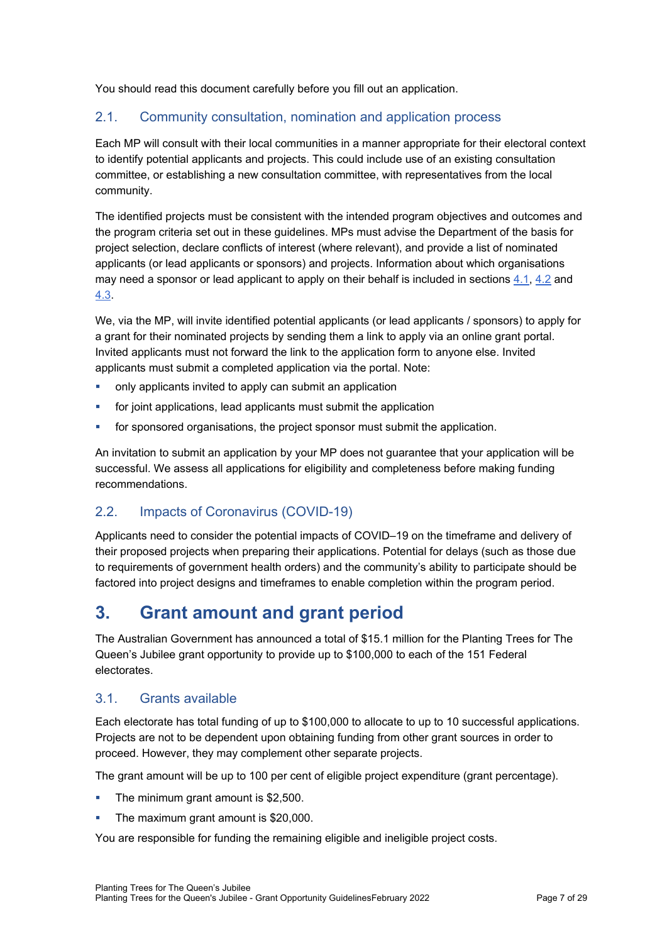You should read this document carefully before you fill out an application.

### 2.1. Community consultation, nomination and application process

Each MP will consult with their local communities in a manner appropriate for their electoral context to identify potential applicants and projects. This could include use of an existing consultation committee, or establishing a new consultation committee, with representatives from the local community.

The identified projects must be consistent with the intended program objectives and outcomes and the program criteria set out in these guidelines. MPs must advise the Department of the basis for project selection, declare conflicts of interest (where relevant), and provide a list of nominated applicants (or lead applicants or sponsors) and projects. Information about which organisations may need a sponsor or lead applicant to apply on their behalf is included in sections [4.1,](#page-7-0) [4.2](#page-9-0) and [4.3.](#page-10-0)

We, via the MP, will invite identified potential applicants (or lead applicants / sponsors) to apply for a grant for their nominated projects by sending them a link to apply via an online grant portal. Invited applicants must not forward the link to the application form to anyone else. Invited applicants must submit a completed application via the portal. Note:

- only applicants invited to apply can submit an application
- **for joint applications, lead applicants must submit the application**
- for sponsored organisations, the project sponsor must submit the application.

An invitation to submit an application by your MP does not guarantee that your application will be successful. We assess all applications for eligibility and completeness before making funding recommendations.

### 2.2. Impacts of Coronavirus (COVID-19)

Applicants need to consider the potential impacts of COVID–19 on the timeframe and delivery of their proposed projects when preparing their applications. Potential for delays (such as those due to requirements of government health orders) and the community's ability to participate should be factored into project designs and timeframes to enable completion within the program period.

# **3. Grant amount and grant period**

The Australian Government has announced a total of \$15.1 million for the Planting Trees for The Queen's Jubilee grant opportunity to provide up to \$100,000 to each of the 151 Federal electorates.

### <span id="page-6-0"></span>3.1. Grants available

Each electorate has total funding of up to \$100,000 to allocate to up to 10 successful applications. Projects are not to be dependent upon obtaining funding from other grant sources in order to proceed. However, they may complement other separate projects.

The grant amount will be up to 100 per cent of eligible project expenditure (grant percentage).

- The minimum grant amount is \$2,500.
- The maximum grant amount is \$20,000.

You are responsible for funding the remaining eligible and ineligible project costs.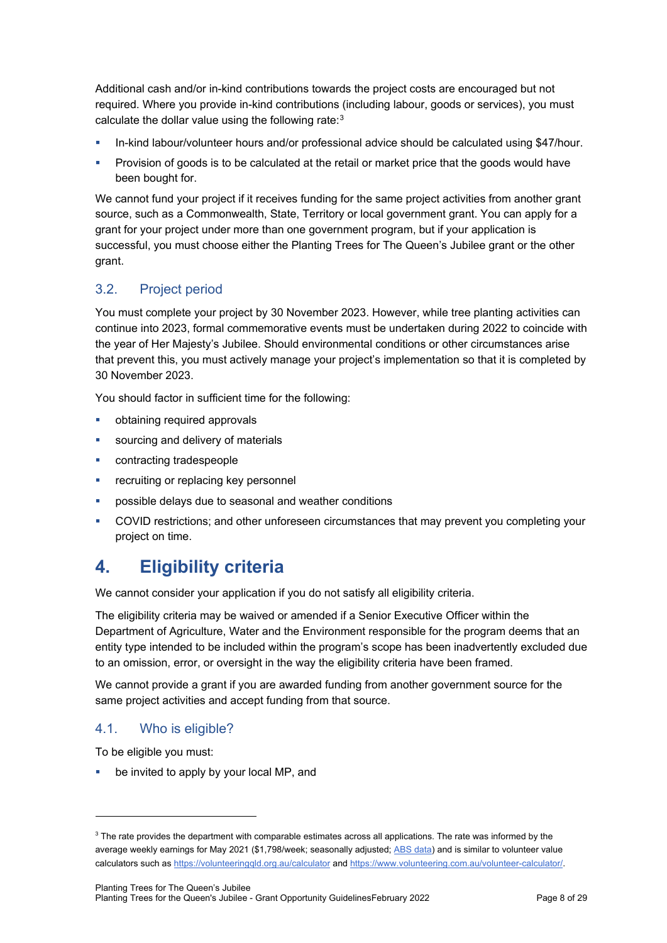Additional cash and/or in-kind contributions towards the project costs are encouraged but not required. Where you provide in-kind contributions (including labour, goods or services), you must calculate the dollar value using the following rate[:3](#page-7-1)

- In-kind labour/volunteer hours and/or professional advice should be calculated using \$47/hour.
- **Provision of goods is to be calculated at the retail or market price that the goods would have** been bought for.

We cannot fund your project if it receives funding for the same project activities from another grant source, such as a Commonwealth, State, Territory or local government grant. You can apply for a grant for your project under more than one government program, but if your application is successful, you must choose either the Planting Trees for The Queen's Jubilee grant or the other grant.

# 3.2. Project period

You must complete your project by 30 November 2023. However, while tree planting activities can continue into 2023, formal commemorative events must be undertaken during 2022 to coincide with the year of Her Majesty's Jubilee. Should environmental conditions or other circumstances arise that prevent this, you must actively manage your project's implementation so that it is completed by 30 November 2023.

You should factor in sufficient time for the following:

- obtaining required approvals
- sourcing and delivery of materials
- contracting tradespeople
- recruiting or replacing key personnel
- possible delays due to seasonal and weather conditions
- COVID restrictions; and other unforeseen circumstances that may prevent you completing your project on time.

# **4. Eligibility criteria**

We cannot consider your application if you do not satisfy all eligibility criteria.

The eligibility criteria may be waived or amended if a Senior Executive Officer within the Department of Agriculture, Water and the Environment responsible for the program deems that an entity type intended to be included within the program's scope has been inadvertently excluded due to an omission, error, or oversight in the way the eligibility criteria have been framed.

We cannot provide a grant if you are awarded funding from another government source for the same project activities and accept funding from that source.

# <span id="page-7-0"></span>4.1. Who is eligible?

To be eligible you must:

be invited to apply by your local MP, and

<span id="page-7-1"></span><sup>&</sup>lt;sup>3</sup> The rate provides the department with comparable estimates across all applications. The rate was informed by the average weekly earnings for May 2021 (\$1,798/week; seasonally adjusted; [ABS data\)](https://www.abs.gov.au/statistics/labour/earnings-and-work-hours/average-weekly-earnings-australia/latest-release) and is similar to volunteer value calculators such as <https://volunteeringqld.org.au/calculator> an[d https://www.volunteering.com.au/volunteer-calculator/.](https://www.volunteering.com.au/volunteer-calculator/)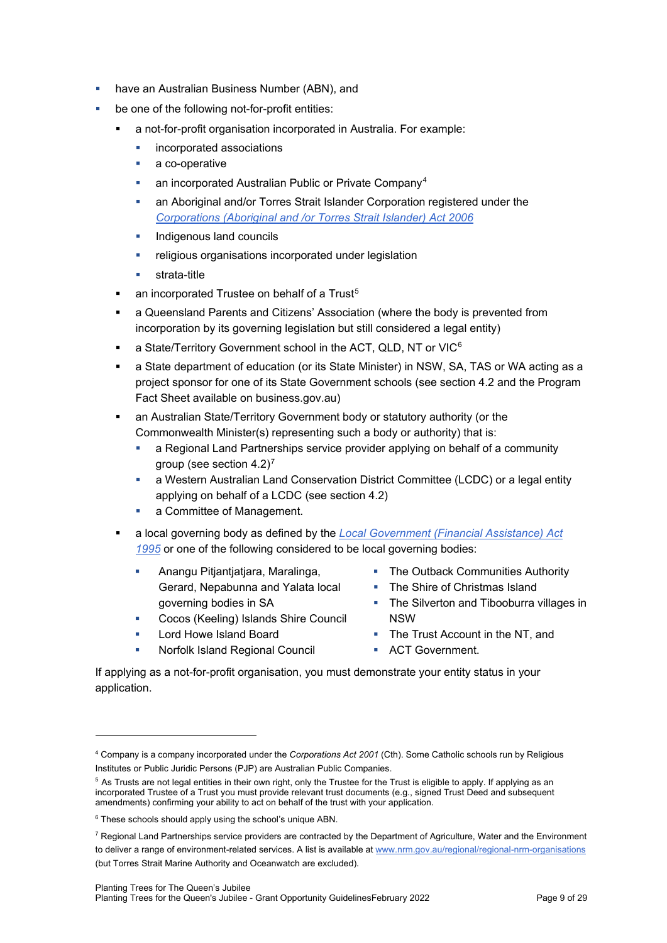- have an Australian Business Number (ABN), and
- be one of the following not-for-profit entities:
	- a not-for-profit organisation incorporated in Australia. For example:
		- **·** incorporated associations
		- a co-operative
		- **an incorporated Australian Public or Private Company**<sup>[4](#page-8-0)</sup>
		- an Aboriginal and/or Torres Strait Islander Corporation registered under the *[Corporations \(Aboriginal and /or Torres Strait Islander\) Act 2006](https://www.legislation.gov.au/Series/C2006A00124)*
		- **Indigenous land councils**
		- **F** religious organisations incorporated under legislation
		- **strata-title**
	- an incorporated Trustee on behalf of a Trust<sup>[5](#page-8-1)</sup>
	- a Queensland Parents and Citizens' Association (where the body is prevented from incorporation by its governing legislation but still considered a legal entity)
	- a State/Territory Government school in the ACT, QLD, NT or VIC<sup>[6](#page-8-2)</sup>
	- a State department of education (or its State Minister) in NSW, SA, TAS or WA acting as a project sponsor for one of its State Government schools (see section [4.2](#page-9-0) and the Program Fact Sheet available on business.gov.au)
	- an Australian State/Territory Government body or statutory authority (or the Commonwealth Minister(s) representing such a body or authority) that is:
		- a Regional Land Partnerships service provider applying on behalf of a community group (see section  $4.2$ )<sup>[7](#page-8-3)</sup>
		- a Western Australian Land Conservation District Committee (LCDC) or a legal entity applying on behalf of a LCDC (see section [4.2\)](#page-9-0)
		- **a** Committee of Management.
	- a local governing body as defined by the *[Local Government \(Financial Assistance\) Act](https://www.legislation.gov.au/Details/C2016C00566) [1995](https://www.legislation.gov.au/Details/C2016C00566)* or one of the following considered to be local governing bodies:
		- **Anangu Pitiantiatiara, Maralinga,** Gerard, Nepabunna and Yalata local governing bodies in SA
		- **Cocos (Keeling) Islands Shire Council**
		- **Lord Howe Island Board**
		- **Norfolk Island Regional Council**
- The Outback Communities Authority
- The Shire of Christmas Island
- The Silverton and Tibooburra villages in NSW
- The Trust Account in the NT, and
- **ACT Government.**

If applying as a not-for-profit organisation, you must demonstrate your entity status in your application.

<span id="page-8-0"></span><sup>4</sup> Company is a company incorporated under the *Corporations Act 2001* (Cth). Some Catholic schools run by Religious Institutes or Public Juridic Persons (PJP) are Australian Public Companies.

<span id="page-8-1"></span><sup>&</sup>lt;sup>5</sup> As Trusts are not legal entities in their own right, only the Trustee for the Trust is eligible to apply. If applying as an incorporated Trustee of a Trust you must provide relevant trust documents (e.g., signed Trust Deed and subsequent amendments) confirming your ability to act on behalf of the trust with your application.

<span id="page-8-2"></span><sup>6</sup> These schools should apply using the school's unique ABN.

<span id="page-8-3"></span> $7$  Regional Land Partnerships service providers are contracted by the Department of Agriculture, Water and the Environment to deliver a range of environment-related services. A list is available a[t www.nrm.gov.au/regional/regional-nrm-organisations](http://www.nrm.gov.au/regional/regional-nrm-organisations) (but Torres Strait Marine Authority and Oceanwatch are excluded).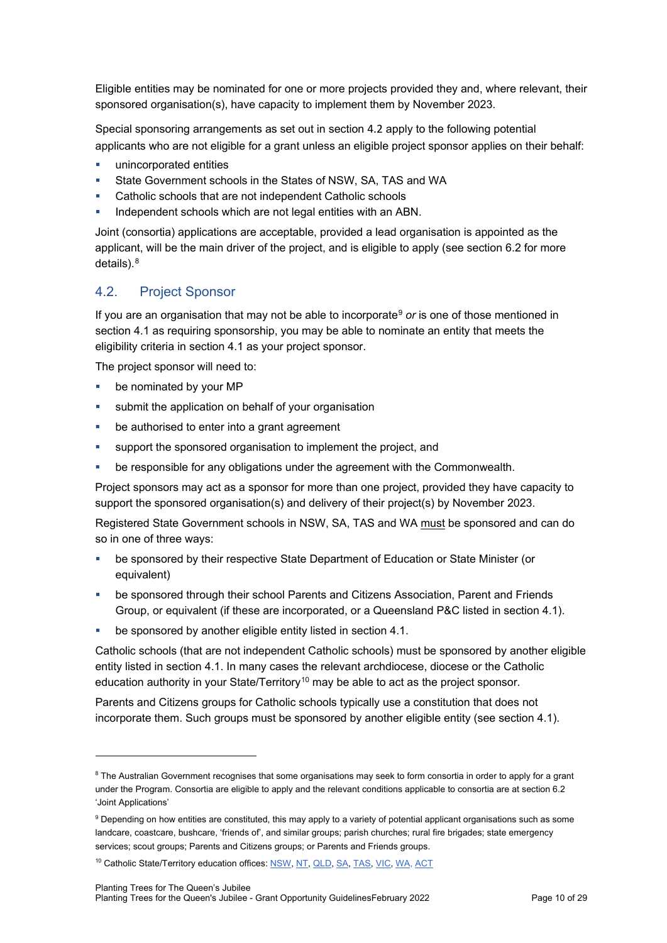Eligible entities may be nominated for one or more projects provided they and, where relevant, their sponsored organisation(s), have capacity to implement them by November 2023.

Special sponsoring arrangements as set out in section [4.2](#page-9-0) apply to the following potential applicants who are not eligible for a grant unless an eligible project sponsor applies on their behalf:

- unincorporated entities
- State Government schools in the States of NSW, SA, TAS and WA
- Catholic schools that are not independent Catholic schools
- Independent schools which are not legal entities with an ABN.

Joint (consortia) applications are acceptable, provided a lead organisation is appointed as the applicant, will be the main driver of the project, and is eligible to apply (see section [6.2](#page-16-0) for more details). [8](#page-9-1)

#### <span id="page-9-0"></span>4.2. Project Sponsor

If you are an organisation that may not be able to incorporate<sup>[9](#page-9-2)</sup> or is one of those mentioned in section [4.1](#page-7-0) as requiring sponsorship, you may be able to nominate an entity that meets the eligibility criteria in section [4.1](#page-7-0) as your project sponsor.

The project sponsor will need to:

- **be nominated by your MP**
- **submit the application on behalf of your organisation**
- **•** be authorised to enter into a grant agreement
- support the sponsored organisation to implement the project, and
- be responsible for any obligations under the agreement with the Commonwealth.

Project sponsors may act as a sponsor for more than one project, provided they have capacity to support the sponsored organisation(s) and delivery of their project(s) by November 2023.

Registered State Government schools in NSW, SA, TAS and WA must be sponsored and can do so in one of three ways:

- be sponsored by their respective State Department of Education or State Minister (or equivalent)
- be sponsored through their school Parents and Citizens Association, Parent and Friends Group, or equivalent (if these are incorporated, or a Queensland P&C listed in section [4.1\)](#page-7-0).
- **•** be sponsored by another eligible entity listed in section [4.1.](#page-7-0)

Catholic schools (that are not independent Catholic schools) must be sponsored by another eligible entity listed in section [4.1.](#page-7-0) In many cases the relevant archdiocese, diocese or the Catholic education authority in your State/Territory<sup>[10](#page-9-3)</sup> may be able to act as the project sponsor.

Parents and Citizens groups for Catholic schools typically use a constitution that does not incorporate them. Such groups must be sponsored by another eligible entity (see section [4.1\)](#page-7-0).

<span id="page-9-1"></span><sup>&</sup>lt;sup>8</sup> The Australian Government recognises that some organisations may seek to form consortia in order to apply for a grant under the Program. Consortia are eligible to apply and the relevant conditions applicable to consortia are at sectio[n 6.2](#page-16-0) 'Joint Applications'

<span id="page-9-2"></span><sup>&</sup>lt;sup>9</sup> Depending on how entities are constituted, this may apply to a variety of potential applicant organisations such as some landcare, coastcare, bushcare, 'friends of', and similar groups; parish churches; rural fire brigades; state emergency services; scout groups; Parents and Citizens groups; or Parents and Friends groups.

<span id="page-9-3"></span><sup>&</sup>lt;sup>10</sup> Catholic State/Territory education offices[: NSW,](https://www.csnsw.catholic.edu.au/) [NT,](https://www.ceont.catholic.edu.au/) [QLD,](https://qcec.catholic.edu.au/about-qcec/catholic-school-authorities/) [SA,](https://www.cesa.catholic.edu.au/) [TAS,](https://www.catholic.tas.edu.au/) [VIC,](https://www.cecv.catholic.edu.au/) [WA,](https://www.cewa.edu.au/) [ACT](https://cg.catholic.edu.au/)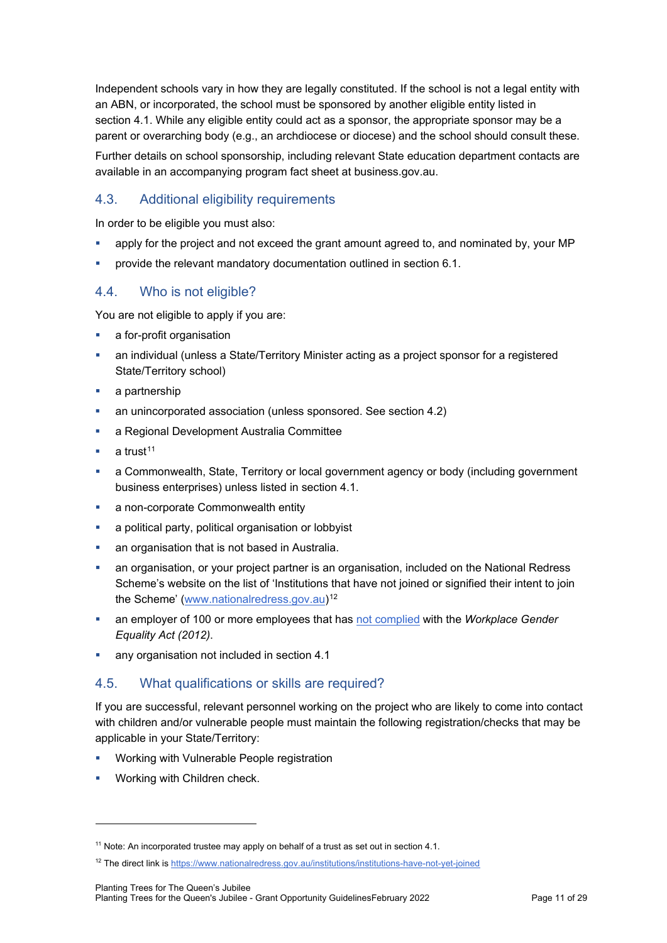Independent schools vary in how they are legally constituted. If the school is not a legal entity with an ABN, or incorporated, the school must be sponsored by another eligible entity listed in section [4.1.](#page-7-0) While any eligible entity could act as a sponsor, the appropriate sponsor may be a parent or overarching body (e.g., an archdiocese or diocese) and the school should consult these.

Further details on school sponsorship, including relevant State education department contacts are available in an accompanying program fact sheet at business.gov.au.

#### <span id="page-10-0"></span>4.3. Additional eligibility requirements

In order to be eligible you must also:

- apply for the project and not exceed the grant amount agreed to, and nominated by, your MP
- provide the relevant mandatory documentation outlined in section [6.1.](#page-16-1)

#### 4.4. Who is not eligible?

You are not eligible to apply if you are:

- a for-profit organisation
- an individual (unless a State/Territory Minister acting as a project sponsor for a registered State/Territory school)
- **a** partnership
- an unincorporated association (unless sponsored. See section [4.2\)](#page-9-0)
- **a Regional Development Australia Committee**
- a trust $11$
- a Commonwealth, State, Territory or local government agency or body (including government business enterprises) unless listed in sectio[n 4.1.](#page-7-0)
- **a** non-corporate Commonwealth entity
- a political party, political organisation or lobbyist
- an organisation that is not based in Australia.
- an organisation, or your project partner is an organisation, included on the National Redress Scheme's website on the list of 'Institutions that have not joined or signified their intent to join the Scheme' [\(www.nationalredress.gov.au\)](http://www.nationalredress.gov.au/)<sup>[12](#page-10-2)</sup>
- an employer of 100 or more employees that has [not complied](https://www.wgea.gov.au/what-we-do/compliance-reporting/non-compliant-list) with the *Workplace Gender Equality Act (2012)*.
- **any organisation not included in section [4.1](#page-7-0)**

### 4.5. What qualifications or skills are required?

If you are successful, relevant personnel working on the project who are likely to come into contact with children and/or vulnerable people must maintain the following registration/checks that may be applicable in your State/Territory:

- **Working with Vulnerable People registration**
- Working with Children check.

<span id="page-10-1"></span><sup>&</sup>lt;sup>11</sup> Note: An incorporated trustee may apply on behalf of a trust as set out in section [4.1.](#page-7-0)

<span id="page-10-2"></span><sup>12</sup> The direct link is<https://www.nationalredress.gov.au/institutions/institutions-have-not-yet-joined>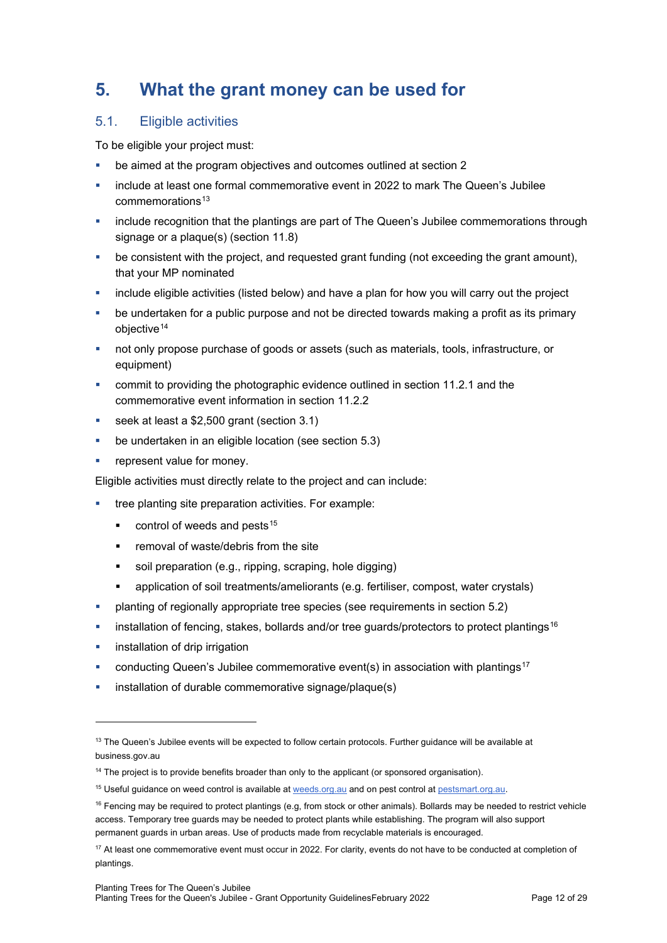# **5. What the grant money can be used for**

## <span id="page-11-5"></span>5.1. Eligible activities

To be eligible your project must:

- be aimed at the program objectives and outcomes outlined at section [2](#page-5-2)
- include at least one formal commemorative event in 2022 to mark The Queen's Jubilee  $commemorations<sup>13</sup>$  $commemorations<sup>13</sup>$  $commemorations<sup>13</sup>$
- **EXED** include recognition that the plantings are part of The Queen's Jubilee commemorations through signage or a plaque(s) (section [11.8\)](#page-24-0)
- be consistent with the project, and requested grant funding (not exceeding the grant amount), that your MP nominated
- include eligible activities (listed below) and have a plan for how you will carry out the project
- be undertaken for a public purpose and not be directed towards making a profit as its primary objective<sup>[14](#page-11-1)</sup>
- not only propose purchase of goods or assets (such as materials, tools, infrastructure, or equipment)
- **•** commit to providing the photographic evidence outlined in section [11.2.1](#page-21-0) and the commemorative event information in section [11.2.2](#page-22-0)
- seek at least a \$2,500 grant (section [3.1\)](#page-6-0)
- be undertaken in an eligible location (see section [5.3\)](#page-13-0)
- **•** represent value for money.

Eligible activities must directly relate to the project and can include:

- tree planting site preparation activities. For example:
	- control of weeds and pests<sup>[15](#page-11-2)</sup>
	- **Fig.** removal of waste/debris from the site
	- soil preparation (e.g., ripping, scraping, hole digging)
	- application of soil treatments/ameliorants (e.g. fertiliser, compost, water crystals)
- planting of regionally appropriate tree species (see requirements in section [5.2\)](#page-12-0)
- installation of fencing, stakes, bollards and/or tree guards/protectors to protect plantings<sup>[16](#page-11-3)</sup>
- installation of drip irrigation
- conducting Queen's Jubilee commemorative event(s) in association with plantings<sup>[17](#page-11-4)</sup>
- installation of durable commemorative signage/plaque(s)

<span id="page-11-0"></span> $13$  The Queen's Jubilee events will be expected to follow certain protocols. Further guidance will be available at business.gov.au

<span id="page-11-1"></span><sup>&</sup>lt;sup>14</sup> The project is to provide benefits broader than only to the applicant (or sponsored organisation).

<span id="page-11-2"></span><sup>&</sup>lt;sup>15</sup> Useful guidance on weed control is available at [weeds.org.au](https://weeds.org.au/) and on pest control at pestsmart.org.au.

<span id="page-11-3"></span> $16$  Fencing may be required to protect plantings (e.g, from stock or other animals). Bollards may be needed to restrict vehicle access. Temporary tree guards may be needed to protect plants while establishing. The program will also support permanent guards in urban areas. Use of products made from recyclable materials is encouraged.

<span id="page-11-4"></span> $17$  At least one commemorative event must occur in 2022. For clarity, events do not have to be conducted at completion of plantings.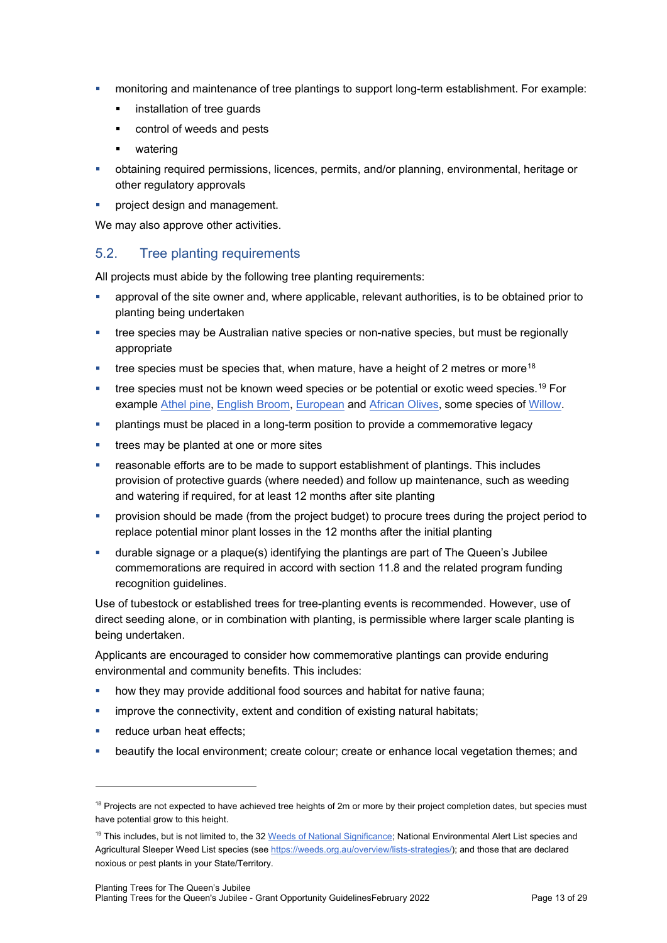- monitoring and maintenance of tree plantings to support long-term establishment. For example:
	- **EXEC** installation of tree guards
	- control of weeds and pests
	- **•** watering
- obtaining required permissions, licences, permits, and/or planning, environmental, heritage or other regulatory approvals
- project design and management.

We may also approve other activities.

#### <span id="page-12-0"></span>5.2. Tree planting requirements

All projects must abide by the following tree planting requirements:

- approval of the site owner and, where applicable, relevant authorities, is to be obtained prior to planting being undertaken
- tree species may be Australian native species or non-native species, but must be regionally appropriate
- $\bullet$  tree species must be species that, when mature, have a height of 2 metres or more<sup>[18](#page-12-1)</sup>
- tree species must not be known weed species or be potential or exotic weed species.<sup>[19](#page-12-2)</sup> For example [Athel pine,](https://profiles.ala.org.au/opus/weeds-australia/profile/Tamarix%20aphylla) [English Broom,](https://profiles.ala.org.au/opus/weeds-australia/profile/Cytisus%20scoparius) [European](https://profiles.ala.org.au/opus/weeds-australia/profile/Olea%20europaea%20subsp.%20europaea) and [African Olives,](https://profiles.ala.org.au/opus/weeds-australia/profile/Olea%20europaea%20subsp.%20cuspidata) some species of [Willow.](https://profiles.ala.org.au/opus/weeds-australia/profile/Salix%20spp.%20except%20S.babylonica,%20S.x%20calodendron%20&%20S.x%20reichardtii)
- plantings must be placed in a long-term position to provide a commemorative legacy
- **trees may be planted at one or more sites**
- reasonable efforts are to be made to support establishment of plantings. This includes provision of protective guards (where needed) and follow up maintenance, such as weeding and watering if required, for at least 12 months after site planting
- **•** provision should be made (from the project budget) to procure trees during the project period to replace potential minor plant losses in the 12 months after the initial planting
- durable signage or a plaque(s) identifying the plantings are part of The Queen's Jubilee commemorations are required in accord with section [11.8](#page-24-0) and the related program funding recognition guidelines.

Use of tubestock or established trees for tree-planting events is recommended. However, use of direct seeding alone, or in combination with planting, is permissible where larger scale planting is being undertaken.

Applicants are encouraged to consider how commemorative plantings can provide enduring environmental and community benefits. This includes:

- how they may provide additional food sources and habitat for native fauna;
- improve the connectivity, extent and condition of existing natural habitats;
- **Falle 1** reduce urban heat effects:
- beautify the local environment; create colour; create or enhance local vegetation themes; and

<span id="page-12-1"></span><sup>&</sup>lt;sup>18</sup> Projects are not expected to have achieved tree heights of 2m or more by their project completion dates, but species must have potential grow to this height.

<span id="page-12-2"></span><sup>&</sup>lt;sup>19</sup> This includes, but is not limited to, the 3[2 Weeds of National Significance;](https://weeds.org.au/) National Environmental Alert List species and Agricultural Sleeper Weed List species (see [https://weeds.org.au/overview/lists-strategies/\)](https://weeds.org.au/overview/lists-strategies/); and those that are declared noxious or pest plants in your State/Territory.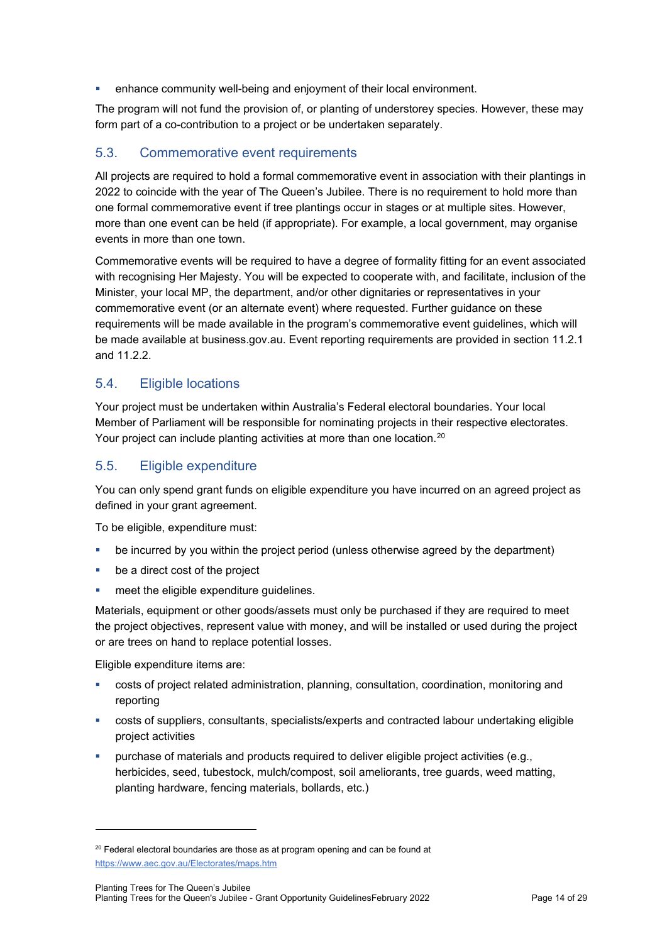enhance community well-being and enjoyment of their local environment.

The program will not fund the provision of, or planting of understorey species. However, these may form part of a co-contribution to a project or be undertaken separately.

### <span id="page-13-0"></span>5.3. Commemorative event requirements

All projects are required to hold a formal commemorative event in association with their plantings in 2022 to coincide with the year of The Queen's Jubilee. There is no requirement to hold more than one formal commemorative event if tree plantings occur in stages or at multiple sites. However, more than one event can be held (if appropriate). For example, a local government, may organise events in more than one town.

Commemorative events will be required to have a degree of formality fitting for an event associated with recognising Her Majesty. You will be expected to cooperate with, and facilitate, inclusion of the Minister, your local MP, the department, and/or other dignitaries or representatives in your commemorative event (or an alternate event) where requested. Further guidance on these requirements will be made available in the program's commemorative event guidelines, which will be made available at business.gov.au. Event reporting requirements are provided in section [11.2.1](#page-21-0) and [11.2.2.](#page-22-0)

### <span id="page-13-2"></span>5.4. Eligible locations

Your project must be undertaken within Australia's Federal electoral boundaries. Your local Member of Parliament will be responsible for nominating projects in their respective electorates. Your project can include planting activities at more than one location. [20](#page-13-1)

### <span id="page-13-3"></span>5.5. Eligible expenditure

You can only spend grant funds on eligible expenditure you have incurred on an agreed project as defined in your grant agreement.

To be eligible, expenditure must:

- be incurred by you within the project period (unless otherwise agreed by the department)
- **be a direct cost of the project**
- **meet the eligible expenditure guidelines.**

Materials, equipment or other goods/assets must only be purchased if they are required to meet the project objectives, represent value with money, and will be installed or used during the project or are trees on hand to replace potential losses.

Eligible expenditure items are:

- costs of project related administration, planning, consultation, coordination, monitoring and reporting
- costs of suppliers, consultants, specialists/experts and contracted labour undertaking eligible project activities
- **purchase of materials and products required to deliver eligible project activities (e.g.,** herbicides, seed, tubestock, mulch/compost, soil ameliorants, tree guards, weed matting, planting hardware, fencing materials, bollards, etc.)

<span id="page-13-1"></span><sup>&</sup>lt;sup>20</sup> Federal electoral boundaries are those as at program opening and can be found at <https://www.aec.gov.au/Electorates/maps.htm>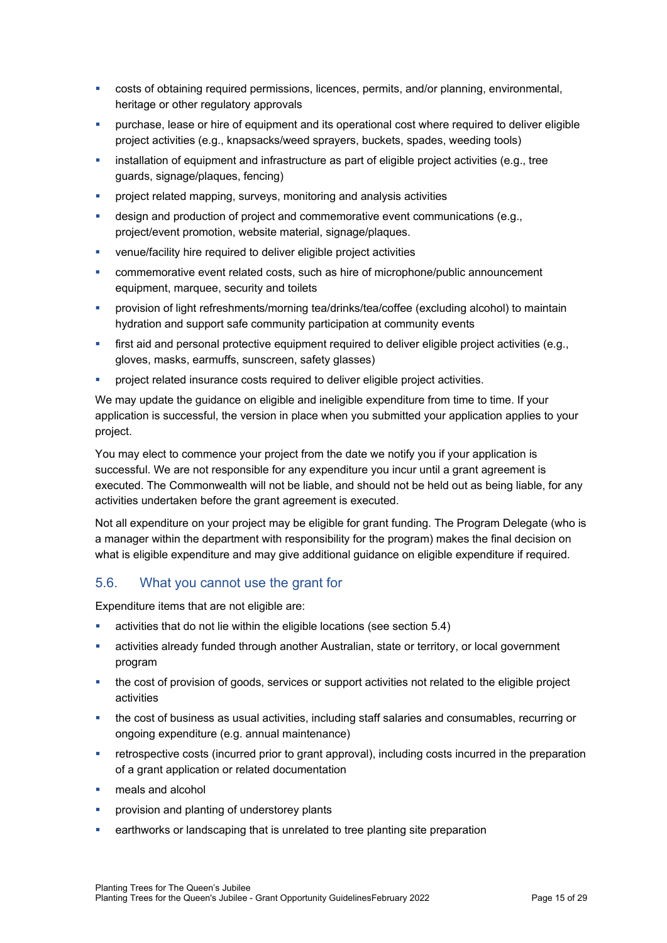- costs of obtaining required permissions, licences, permits, and/or planning, environmental, heritage or other regulatory approvals
- purchase, lease or hire of equipment and its operational cost where required to deliver eligible project activities (e.g., knapsacks/weed sprayers, buckets, spades, weeding tools)
- installation of equipment and infrastructure as part of eligible project activities (e.g., tree guards, signage/plaques, fencing)
- **•** project related mapping, surveys, monitoring and analysis activities
- design and production of project and commemorative event communications (e.g., project/event promotion, website material, signage/plaques.
- venue/facility hire required to deliver eligible project activities
- commemorative event related costs, such as hire of microphone/public announcement equipment, marquee, security and toilets
- provision of light refreshments/morning tea/drinks/tea/coffee (excluding alcohol) to maintain hydration and support safe community participation at community events
- first aid and personal protective equipment required to deliver eligible project activities (e.g., gloves, masks, earmuffs, sunscreen, safety glasses)
- project related insurance costs required to deliver eligible project activities.

We may update the guidance on eligible and ineligible expenditure from time to time. If your application is successful, the version in place when you submitted your application applies to your project.

You may elect to commence your project from the date we notify you if your application is successful. We are not responsible for any expenditure you incur until a grant agreement is executed. The Commonwealth will not be liable, and should not be held out as being liable, for any activities undertaken before the grant agreement is executed.

Not all expenditure on your project may be eligible for grant funding. The Program Delegate (who is a manager within the department with responsibility for the program) makes the final decision on what is eligible expenditure and may give additional guidance on eligible expenditure if required.

### 5.6. What you cannot use the grant for

Expenditure items that are not eligible are:

- activities that do not lie within the eligible locations (see section [5.4\)](#page-13-2)
- activities already funded through another Australian, state or territory, or local government program
- the cost of provision of goods, services or support activities not related to the eligible project activities
- the cost of business as usual activities, including staff salaries and consumables, recurring or ongoing expenditure (e.g. annual maintenance)
- retrospective costs (incurred prior to grant approval), including costs incurred in the preparation of a grant application or related documentation
- meals and alcohol
- **PEDE PROVISION AND PROVISION AND PROVISION AND PROVISION**
- earthworks or landscaping that is unrelated to tree planting site preparation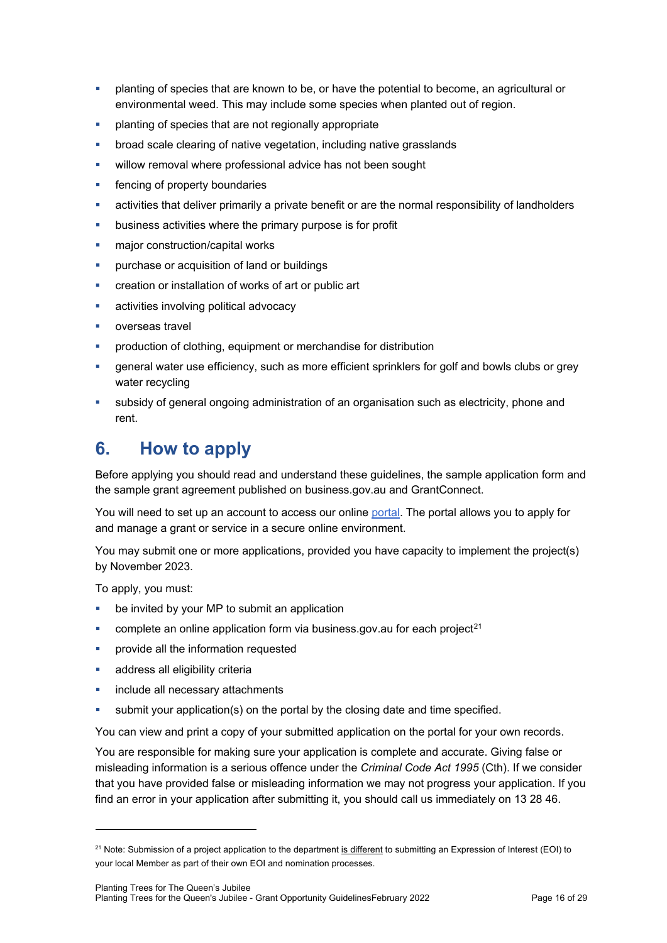- planting of species that are known to be, or have the potential to become, an agricultural or environmental weed. This may include some species when planted out of region.
- planting of species that are not regionally appropriate
- broad scale clearing of native vegetation, including native grasslands
- **willow removal where professional advice has not been sought**
- **Fig.** fencing of property boundaries
- activities that deliver primarily a private benefit or are the normal responsibility of landholders
- business activities where the primary purpose is for profit
- major construction/capital works
- **•** purchase or acquisition of land or buildings
- creation or installation of works of art or public art
- **activities involving political advocacy**
- overseas travel
- production of clothing, equipment or merchandise for distribution
- general water use efficiency, such as more efficient sprinklers for golf and bowls clubs or grey water recycling
- subsidy of general ongoing administration of an organisation such as electricity, phone and rent.

# **6. How to apply**

Before applying you should read and understand these guidelines, the sample application form and the sample grant agreement published on business.gov.au and GrantConnect.

You will need to set up an account to access our online [portal.](https://portal.business.gov.au/) The portal allows you to apply for and manage a grant or service in a secure online environment.

You may submit one or more applications, provided you have capacity to implement the project(s) by November 2023.

To apply, you must:

- be invited by your MP to submit an application
- complete an online application form via business.gov.au for each project<sup>[21](#page-15-0)</sup>
- provide all the information requested
- address all eligibility criteria
- **include all necessary attachments**
- submit your application(s) on the portal by the closing date and time specified.

You can view and print a copy of your submitted application on the portal for your own records.

You are responsible for making sure your application is complete and accurate. Giving false or misleading information is a serious offence under the *Criminal Code Act 1995* (Cth). If we consider that you have provided false or misleading information we may not progress your application. If you find an error in your application after submitting it, you should call us immediately on 13 28 46.

<span id="page-15-0"></span><sup>&</sup>lt;sup>21</sup> Note: Submission of a project application to the department is different to submitting an Expression of Interest (EOI) to your local Member as part of their own EOI and nomination processes.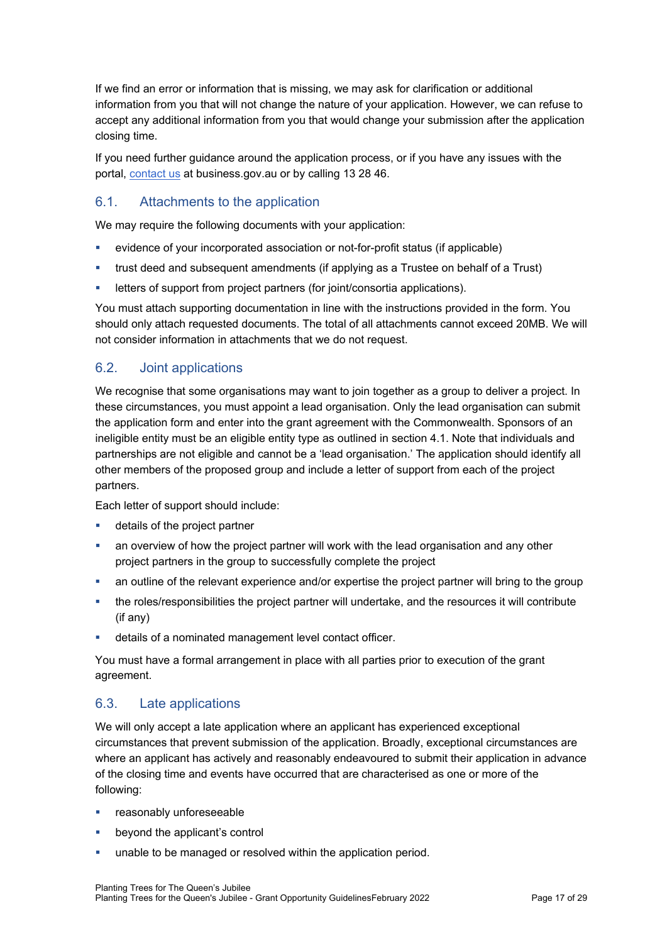If we find an error or information that is missing, we may ask for clarification or additional information from you that will not change the nature of your application. However, we can refuse to accept any additional information from you that would change your submission after the application closing time.

If you need further guidance around the application process, or if you have any issues with the portal, [contact us](https://www.business.gov.au/contact-us) at business.gov.au or by calling 13 28 46.

#### <span id="page-16-1"></span>6.1. Attachments to the application

We may require the following documents with your application:

- evidence of your incorporated association or not-for-profit status (if applicable)
- trust deed and subsequent amendments (if applying as a Trustee on behalf of a Trust)
- **EXECTER 1** letters of support from project partners (for joint/consortia applications).

You must attach supporting documentation in line with the instructions provided in the form. You should only attach requested documents. The total of all attachments cannot exceed 20MB. We will not consider information in attachments that we do not request.

#### <span id="page-16-0"></span>6.2. Joint applications

We recognise that some organisations may want to join together as a group to deliver a project. In these circumstances, you must appoint a lead organisation. Only the lead organisation can submit the application form and enter into the grant agreement with the Commonwealth. Sponsors of an ineligible entity must be an eligible entity type as outlined in section [4.1.](#page-7-0) Note that individuals and partnerships are not eligible and cannot be a 'lead organisation.' The application should identify all other members of the proposed group and include a letter of support from each of the project partners.

Each letter of support should include:

- **details of the project partner**
- an overview of how the project partner will work with the lead organisation and any other project partners in the group to successfully complete the project
- an outline of the relevant experience and/or expertise the project partner will bring to the group
- the roles/responsibilities the project partner will undertake, and the resources it will contribute (if any)
- details of a nominated management level contact officer.

You must have a formal arrangement in place with all parties prior to execution of the grant agreement.

### 6.3. Late applications

We will only accept a late application where an applicant has experienced exceptional circumstances that prevent submission of the application. Broadly, exceptional circumstances are where an applicant has actively and reasonably endeavoured to submit their application in advance of the closing time and events have occurred that are characterised as one or more of the following:

- **F** reasonably unforeseeable
- **•** beyond the applicant's control
- unable to be managed or resolved within the application period.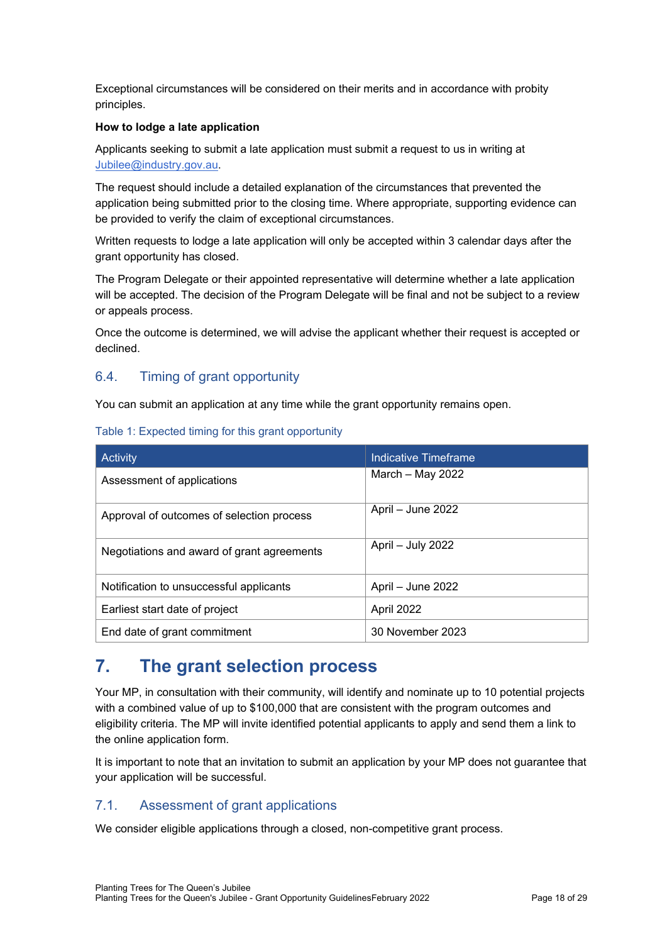Exceptional circumstances will be considered on their merits and in accordance with probity principles.

#### **How to lodge a late application**

Applicants seeking to submit a late application must submit a request to us in writing at [Jubilee@industry.gov.au.](mailto:Jubilee@industry.gov.au)

The request should include a detailed explanation of the circumstances that prevented the application being submitted prior to the closing time. Where appropriate, supporting evidence can be provided to verify the claim of exceptional circumstances.

Written requests to lodge a late application will only be accepted within 3 calendar days after the grant opportunity has closed.

The Program Delegate or their appointed representative will determine whether a late application will be accepted. The decision of the Program Delegate will be final and not be subject to a review or appeals process.

Once the outcome is determined, we will advise the applicant whether their request is accepted or declined.

#### 6.4. Timing of grant opportunity

You can submit an application at any time while the grant opportunity remains open.

| <b>Activity</b>                            | Indicative Timeframe |
|--------------------------------------------|----------------------|
| Assessment of applications                 | March $-$ May 2022   |
| Approval of outcomes of selection process  | April - June 2022    |
| Negotiations and award of grant agreements | April – July 2022    |
| Notification to unsuccessful applicants    | April – June 2022    |
| Earliest start date of project             | April 2022           |
| End date of grant commitment               | 30 November 2023     |

#### Table 1: Expected timing for this grant opportunity

# **7. The grant selection process**

Your MP, in consultation with their community, will identify and nominate up to 10 potential projects with a combined value of up to \$100,000 that are consistent with the program outcomes and eligibility criteria. The MP will invite identified potential applicants to apply and send them a link to the online application form.

It is important to note that an invitation to submit an application by your MP does not guarantee that your application will be successful.

#### <span id="page-17-0"></span>7.1. Assessment of grant applications

We consider eligible applications through a closed, non-competitive grant process.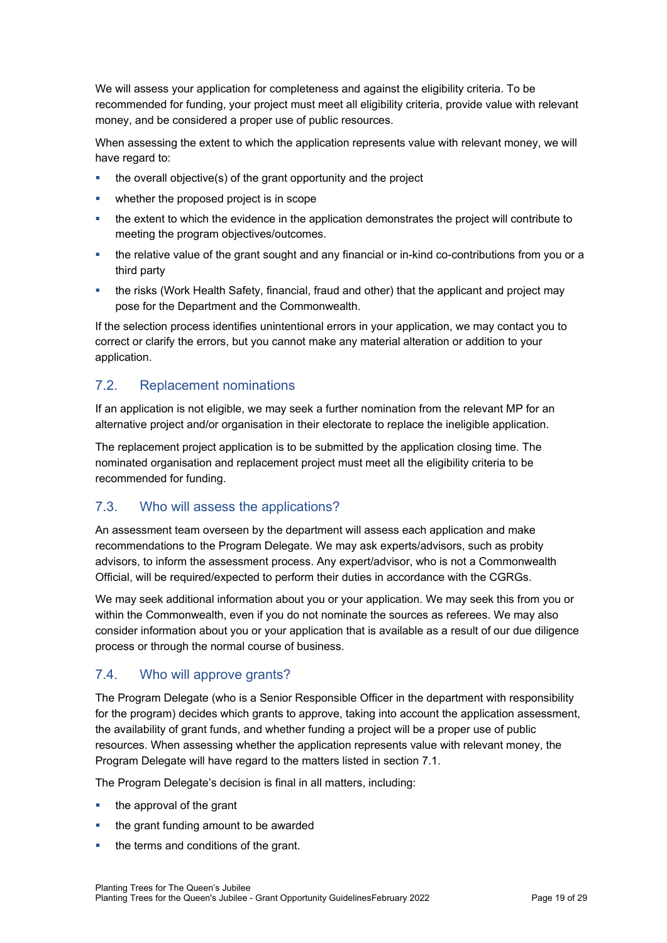We will assess your application for completeness and against the eligibility criteria. To be recommended for funding, your project must meet all eligibility criteria, provide value with relevant money, and be considered a proper use of public resources.

When assessing the extent to which the application represents value with relevant money, we will have regard to:

- the overall objective(s) of the grant opportunity and the project
- whether the proposed project is in scope
- the extent to which the evidence in the application demonstrates the project will contribute to meeting the program objectives/outcomes.
- the relative value of the grant sought and any financial or in-kind co-contributions from you or a third party
- the risks (Work Health Safety, financial, fraud and other) that the applicant and project may pose for the Department and the Commonwealth.

If the selection process identifies unintentional errors in your application, we may contact you to correct or clarify the errors, but you cannot make any material alteration or addition to your application.

### 7.2. Replacement nominations

If an application is not eligible, we may seek a further nomination from the relevant MP for an alternative project and/or organisation in their electorate to replace the ineligible application.

The replacement project application is to be submitted by the application closing time. The nominated organisation and replacement project must meet all the eligibility criteria to be recommended for funding.

#### 7.3. Who will assess the applications?

An assessment team overseen by the department will assess each application and make recommendations to the Program Delegate. We may ask experts/advisors, such as probity advisors, to inform the assessment process. Any expert/advisor, who is not a Commonwealth Official, will be required/expected to perform their duties in accordance with the CGRGs.

We may seek additional information about you or your application. We may seek this from you or within the Commonwealth, even if you do not nominate the sources as referees. We may also consider information about you or your application that is available as a result of our due diligence process or through the normal course of business.

### 7.4. Who will approve grants?

The Program Delegate (who is a Senior Responsible Officer in the department with responsibility for the program) decides which grants to approve, taking into account the application assessment, the availability of grant funds, and whether funding a project will be a proper use of public resources. When assessing whether the application represents value with relevant money, the Program Delegate will have regard to the matters listed in section [7.1.](#page-17-0)

The Program Delegate's decision is final in all matters, including:

- $\blacksquare$  the approval of the grant
- the grant funding amount to be awarded
- the terms and conditions of the grant.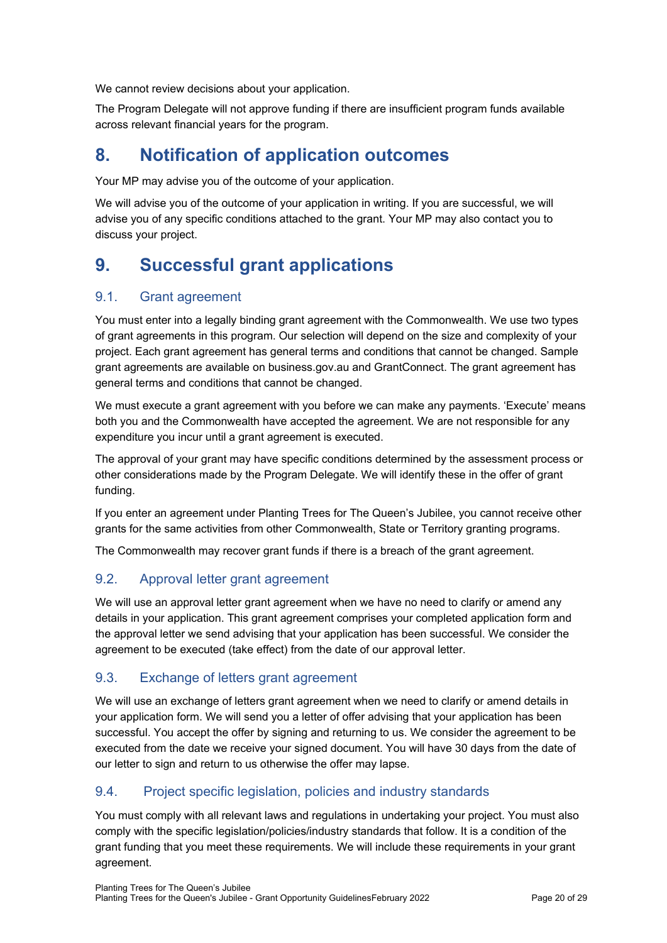We cannot review decisions about your application.

The Program Delegate will not approve funding if there are insufficient program funds available across relevant financial years for the program.

# **8. Notification of application outcomes**

Your MP may advise you of the outcome of your application.

We will advise you of the outcome of your application in writing. If you are successful, we will advise you of any specific conditions attached to the grant. Your MP may also contact you to discuss your project.

# **9. Successful grant applications**

### 9.1. Grant agreement

You must enter into a legally binding grant agreement with the Commonwealth. We use two types of grant agreements in this program. Our selection will depend on the size and complexity of your project. Each grant agreement has general terms and conditions that cannot be changed. Sample grant agreements are available on business.gov.au and GrantConnect. The grant agreement has general terms and conditions that cannot be changed.

We must execute a grant agreement with you before we can make any payments. 'Execute' means both you and the Commonwealth have accepted the agreement. We are not responsible for any expenditure you incur until a grant agreement is executed.

The approval of your grant may have specific conditions determined by the assessment process or other considerations made by the Program Delegate. We will identify these in the offer of grant funding.

If you enter an agreement under Planting Trees for The Queen's Jubilee, you cannot receive other grants for the same activities from other Commonwealth, State or Territory granting programs.

The Commonwealth may recover grant funds if there is a breach of the grant agreement.

### 9.2. Approval letter grant agreement

We will use an approval letter grant agreement when we have no need to clarify or amend any details in your application. This grant agreement comprises your completed application form and the approval letter we send advising that your application has been successful. We consider the agreement to be executed (take effect) from the date of our approval letter.

### 9.3. Exchange of letters grant agreement

We will use an exchange of letters grant agreement when we need to clarify or amend details in your application form. We will send you a letter of offer advising that your application has been successful. You accept the offer by signing and returning to us. We consider the agreement to be executed from the date we receive your signed document. You will have 30 days from the date of our letter to sign and return to us otherwise the offer may lapse.

# 9.4. Project specific legislation, policies and industry standards

You must comply with all relevant laws and regulations in undertaking your project. You must also comply with the specific legislation/policies/industry standards that follow. It is a condition of the grant funding that you meet these requirements. We will include these requirements in your grant agreement.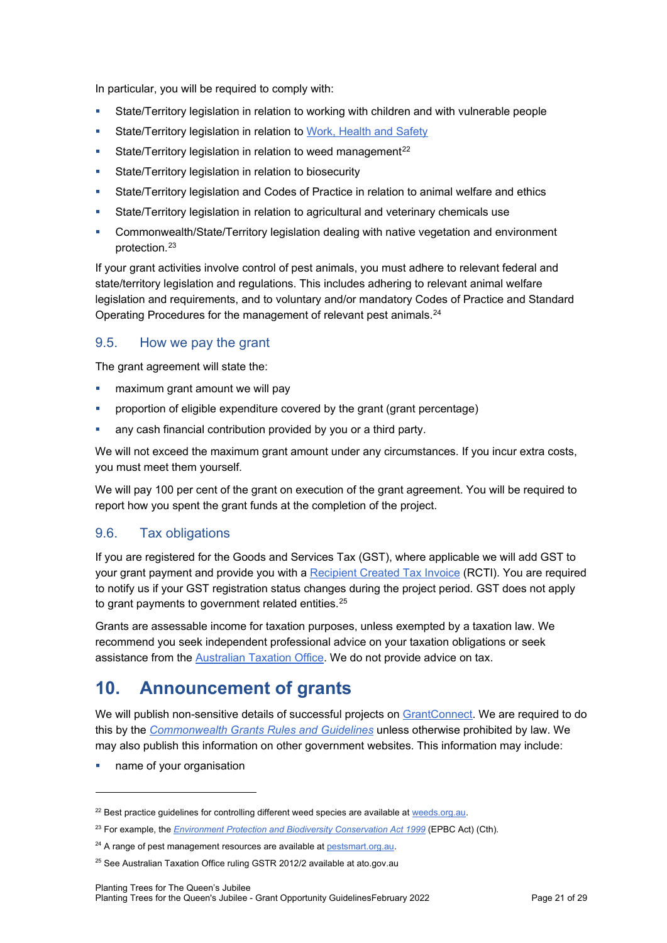In particular, you will be required to comply with:

- State/Territory legislation in relation to working with children and with vulnerable people
- **State/Territory legislation in relation to [Work, Health and Safety](https://www.legislation.gov.au/Details/F2011L02664)**
- State/Territory legislation in relation to weed management<sup>[22](#page-20-0)</sup>
- **State/Territory legislation in relation to biosecurity**
- State/Territory legislation and Codes of Practice in relation to animal welfare and ethics
- State/Territory legislation in relation to agricultural and veterinary chemicals use
- Commonwealth/State/Territory legislation dealing with native vegetation and environment protection.[23](#page-20-1)

If your grant activities involve control of pest animals, you must adhere to relevant federal and state/territory legislation and regulations. This includes adhering to relevant animal welfare legislation and requirements, and to voluntary and/or mandatory Codes of Practice and Standard Operating Procedures for the management of relevant pest animals.[24](#page-20-2)

#### 9.5. How we pay the grant

The grant agreement will state the:

- maximum grant amount we will pay
- proportion of eligible expenditure covered by the grant (grant percentage)
- any cash financial contribution provided by you or a third party.

We will not exceed the maximum grant amount under any circumstances. If you incur extra costs, you must meet them yourself.

We will pay 100 per cent of the grant on execution of the grant agreement. You will be required to report how you spent the grant funds at the completion of the project.

### 9.6. Tax obligations

If you are registered for the Goods and Services Tax (GST), where applicable we will add GST to your grant payment and provide you with a [Recipient Created Tax Invoice](https://www.ato.gov.au/Business/GST/Tax-invoices/#RCTI_1) (RCTI). You are required to notify us if your GST registration status changes during the project period. GST does not apply to grant payments to government related entities. $^{\mathrm{25}}$  $^{\mathrm{25}}$  $^{\mathrm{25}}$ 

Grants are assessable income for taxation purposes, unless exempted by a taxation law. We recommend you seek independent professional advice on your taxation obligations or seek assistance from the [Australian Taxation Office.](https://www.ato.gov.au/) We do not provide advice on tax.

# **10. Announcement of grants**

We will publish non-sensitive details of successful projects on [GrantConnect.](https://www.grants.gov.au/) We are required to do this by the *[Commonwealth Grants Rules and Guidelines](https://www.finance.gov.au/government/commonwealth-grants/commonwealth-grants-rules-guidelines)* unless otherwise prohibited by law. We may also publish this information on other government websites. This information may include:

name of your organisation

<span id="page-20-0"></span><sup>&</sup>lt;sup>22</sup> Best practice guidelines for controlling different weed species are available at [weeds.org.au.](https://weeds.org.au/weeds-profiles/)

<span id="page-20-1"></span><sup>23</sup> For example, the *[Environment Protection and Biodiversity Conservation Act 1999](https://www.legislation.gov.au/Details/C2021C00182)* (EPBC Act) (Cth).

<span id="page-20-2"></span><sup>&</sup>lt;sup>24</sup> A range of pest management resources are available at [pestsmart.org.au.](https://pestsmart.org.au/pest-animals/)

<span id="page-20-3"></span><sup>&</sup>lt;sup>25</sup> See Australian Taxation Office ruling GSTR 2012/2 available at ato.gov.au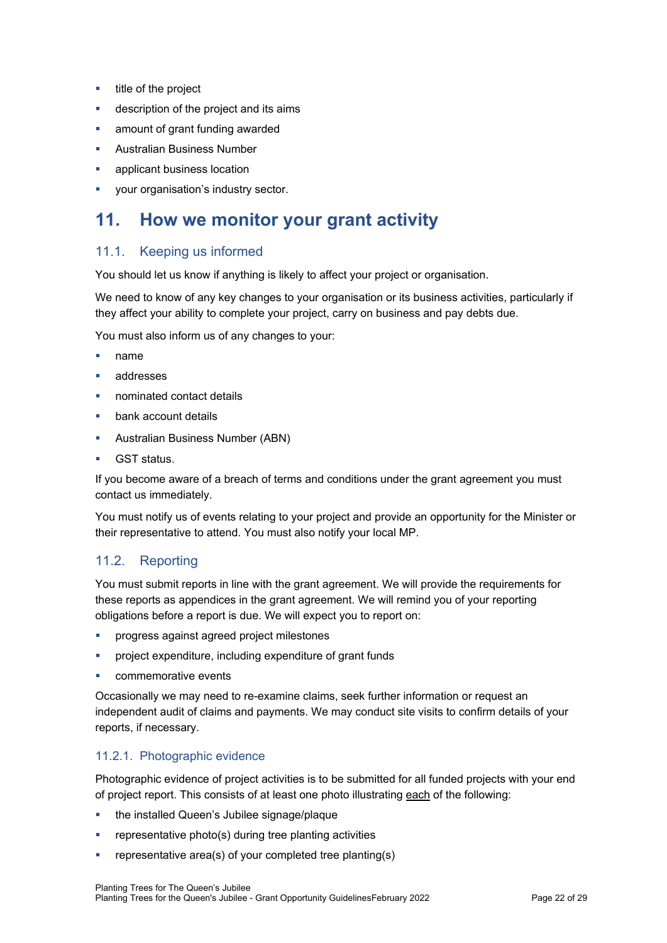- $\blacksquare$  title of the project
- description of the project and its aims
- amount of grant funding awarded
- Australian Business Number
- applicant business location
- your organisation's industry sector.

# **11. How we monitor your grant activity**

#### 11.1. Keeping us informed

You should let us know if anything is likely to affect your project or organisation.

We need to know of any key changes to your organisation or its business activities, particularly if they affect your ability to complete your project, carry on business and pay debts due.

You must also inform us of any changes to your:

- name
- addresses
- nominated contact details
- bank account details
- **Australian Business Number (ABN)**
- GST status.

If you become aware of a breach of terms and conditions under the grant agreement you must contact us immediately.

You must notify us of events relating to your project and provide an opportunity for the Minister or their representative to attend. You must also notify your local MP.

### 11.2. Reporting

You must submit reports in line with the [grant agreement.](file://prod.protected.ind/User/user03/LLau2/insert%20link%20here) We will provide the requirements for these reports as appendices in the grant agreement. We will remind you of your reporting obligations before a report is due. We will expect you to report on:

- **•** progress against agreed project milestones
- project expenditure, including expenditure of grant funds
- commemorative events

Occasionally we may need to re-examine claims, seek further information or request an independent audit of claims and payments. We may conduct site visits to confirm details of your reports, if necessary.

#### <span id="page-21-0"></span>11.2.1. Photographic evidence

Photographic evidence of project activities is to be submitted for all funded projects with your end of project report. This consists of at least one photo illustrating each of the following:

- **the installed Queen's Jubilee signage/plaque**
- **•** representative photo(s) during tree planting activities
- representative area(s) of your completed tree planting(s)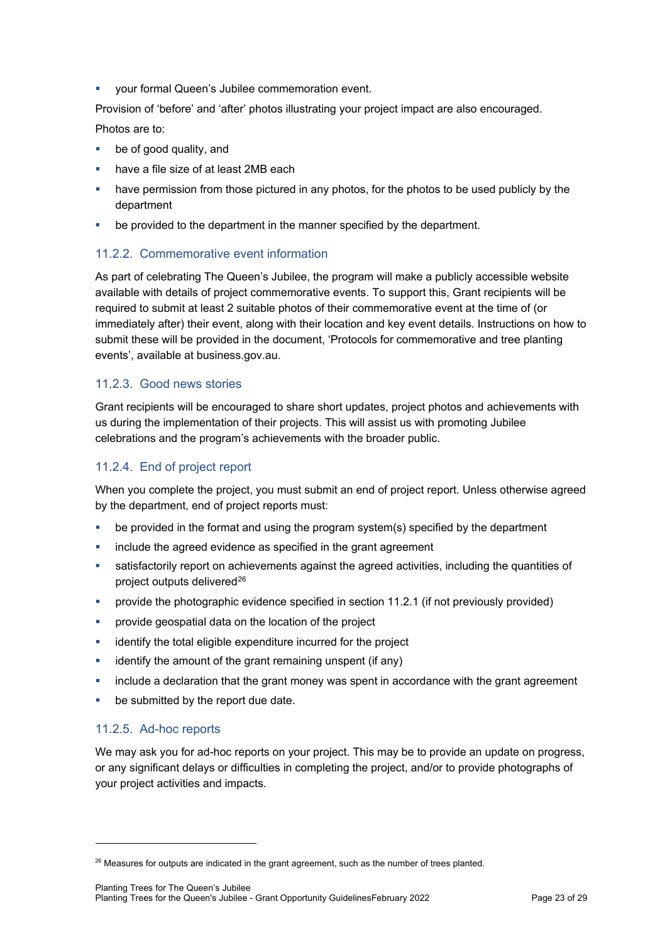your formal Queen's Jubilee commemoration event.

Provision of 'before' and 'after' photos illustrating your project impact are also encouraged. Photos are to:

- be of good quality, and
- have a file size of at least 2MB each
- have permission from those pictured in any photos, for the photos to be used publicly by the department
- be provided to the department in the manner specified by the department.

#### <span id="page-22-0"></span>11.2.2. Commemorative event information

As part of celebrating The Queen's Jubilee, the program will make a publicly accessible website available with details of project commemorative events. To support this, Grant recipients will be required to submit at least 2 suitable photos of their commemorative event at the time of (or immediately after) their event, along with their location and key event details. Instructions on how to submit these will be provided in the document, 'Protocols for commemorative and tree planting events', available at business.gov.au.

#### 11.2.3. Good news stories

Grant recipients will be encouraged to share short updates, project photos and achievements with us during the implementation of their projects. This will assist us with promoting Jubilee celebrations and the program's achievements with the broader public.

#### 11.2.4. End of project report

When you complete the project, you must submit an end of project report. Unless otherwise agreed by the department, end of project reports must:

- be provided in the format and using the program system(s) specified by the department
- include the agreed evidence as specified in the grant agreement
- satisfactorily report on achievements against the agreed activities, including the quantities of project outputs delivered<sup>[26](#page-22-1)</sup>
- provide the photographic evidence specified in section [11.2.1](#page-21-0) (if not previously provided)
- **Provide geospatial data on the location of the project**
- identify the total eligible expenditure incurred for the project
- identify the amount of the grant remaining unspent (if any)
- **EXED include a declaration that the grant money was spent in accordance with the grant agreement**
- **•** be submitted by the report due date.

#### 11.2.5. Ad-hoc reports

We may ask you for ad-hoc reports on your project. This may be to provide an update on progress, or any significant delays or difficulties in completing the project, and/or to provide photographs of your project activities and impacts.

<span id="page-22-1"></span><sup>&</sup>lt;sup>26</sup> Measures for outputs are indicated in the grant agreement, such as the number of trees planted.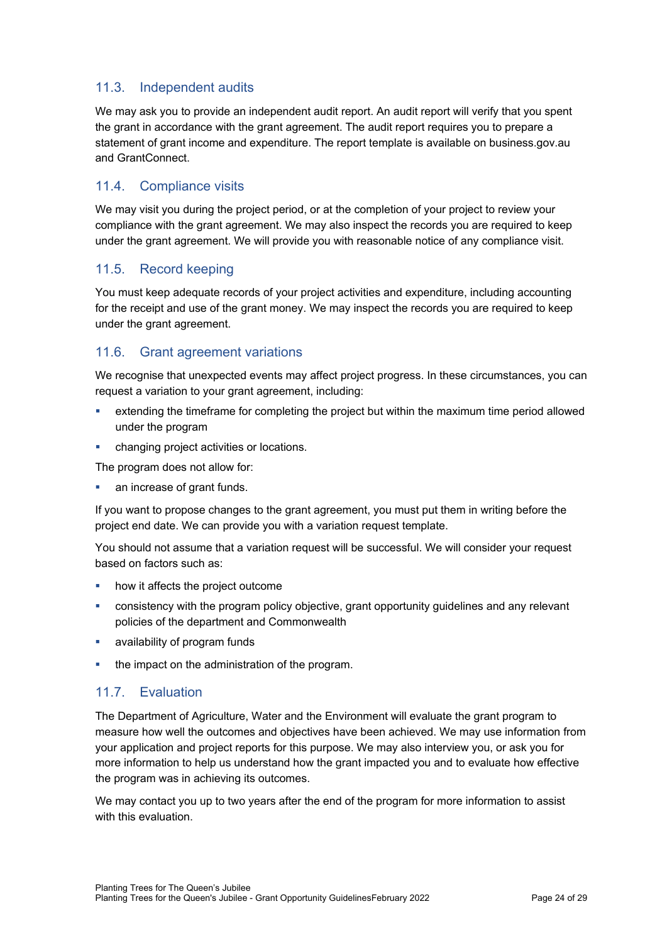### 11.3. Independent audits

We may ask you to provide an independent audit report. An audit report will verify that you spent the grant in accordance with the grant agreement. The audit report requires you to prepare a statement of grant income and expenditure. The report template is available on business.gov.au and GrantConnect.

#### 11.4. Compliance visits

We may visit you during the project period, or at the completion of your project to review your compliance with the grant agreement. We may also inspect the records you are required to keep under the grant agreement. We will provide you with reasonable notice of any compliance visit.

#### 11.5. Record keeping

You must keep adequate records of your project activities and expenditure, including accounting for the receipt and use of the grant money. We may inspect the records you are required to keep under the grant agreement.

#### 11.6. Grant agreement variations

We recognise that unexpected events may affect project progress. In these circumstances, you can request a variation to your grant agreement, including:

- extending the timeframe for completing the project but within the maximum time period allowed under the program
- changing project activities or locations.

The program does not allow for:

an increase of grant funds.

If you want to propose changes to the grant agreement, you must put them in writing before the project end date. We can provide you with a variation request template.

You should not assume that a variation request will be successful. We will consider your request based on factors such as:

- how it affects the project outcome
- consistency with the program policy objective, grant opportunity guidelines and any relevant policies of the department and Commonwealth
- availability of program funds
- the impact on the administration of the program.

### 11.7. Evaluation

The Department of Agriculture, Water and the Environment will evaluate the grant program to measure how well the outcomes and objectives have been achieved. We may use information from your application and project reports for this purpose. We may also interview you, or ask you for more information to help us understand how the grant impacted you and to evaluate how effective the program was in achieving its outcomes.

We may contact you up to two years after the end of the program for more information to assist with this evaluation.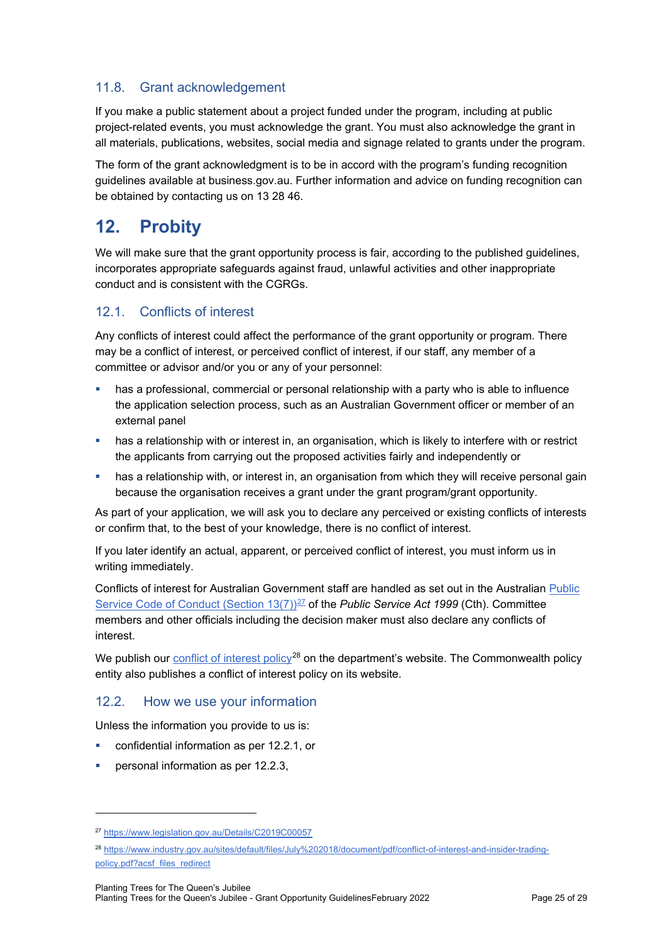### <span id="page-24-0"></span>11.8. Grant acknowledgement

If you make a public statement about a project funded under the program, including at public project-related events, you must acknowledge the grant. You must also acknowledge the grant in all materials, publications, websites, social media and signage related to grants under the program.

The form of the grant acknowledgment is to be in accord with the program's funding recognition guidelines available at business.gov.au. Further information and advice on funding recognition can be obtained by contacting us on 13 28 46.

# **12. Probity**

We will make sure that the grant opportunity process is fair, according to the published guidelines, incorporates appropriate safeguards against fraud, unlawful activities and other inappropriate conduct and is consistent with the CGRGs.

### 12.1. Conflicts of interest

Any conflicts of interest could affect the performance of the grant opportunity or program. There may be a [conflict of interest,](http://www.apsc.gov.au/publications-and-media/current-publications/aps-values-and-code-of-conduct-in-practice/conflict-of-interest) or perceived conflict of interest, if our staff, any member of a committee or advisor and/or you or any of your personnel:

- has a professional, commercial or personal relationship with a party who is able to influence the application selection process, such as an Australian Government officer or member of an external panel
- has a relationship with or interest in, an organisation, which is likely to interfere with or restrict the applicants from carrying out the proposed activities fairly and independently or
- **•** has a relationship with, or interest in, an organisation from which they will receive personal gain because the organisation receives a grant under the grant program/grant opportunity.

As part of your application, we will ask you to declare any perceived or existing conflicts of interests or confirm that, to the best of your knowledge, there is no conflict of interest.

If you later identify an actual, apparent, or perceived conflict of interest, you must inform us in writing immediately.

Conflicts of interest for Australian Government staff are handled as set out in the Australian [Public](https://www.legislation.gov.au/Details/C2019C00057)  [Service Code of Conduct \(Section 13\(7\)\)](https://www.legislation.gov.au/Details/C2019C00057)<sup>[27](#page-24-1)</sup> of the *Public Service Act 1999* (Cth). Committee members and other officials including the decision maker must also declare any conflicts of interest.

We publish our [conflict of interest policy](https://www.industry.gov.au/sites/g/files/net3906/f/July%202018/document/pdf/conflict-of-interest-and-insider-trading-policy.pdf)<sup>[28](#page-24-2)</sup> on the department's website. The Commonwealth policy entity also publishes a conflict of interest policy on its website.

### 12.2. How we use your information

Unless the information you provide to us is:

- confidential information as per [12.2.1,](#page-25-0) or
- personal information as per [12.2.3,](#page-25-1)

<span id="page-24-1"></span><sup>27</sup> https://www.legislation.gov.au/Details/C2019C00057

<span id="page-24-2"></span><sup>28</sup> [https://www.industry.gov.au/sites/default/files/July%202018/document/pdf/conflict-of-interest-and-insider-trading](https://www.industry.gov.au/sites/default/files/July%202018/document/pdf/conflict-of-interest-and-insider-trading-policy.pdf?acsf_files_redirect)[policy.pdf?acsf\\_files\\_redirect](https://www.industry.gov.au/sites/default/files/July%202018/document/pdf/conflict-of-interest-and-insider-trading-policy.pdf?acsf_files_redirect)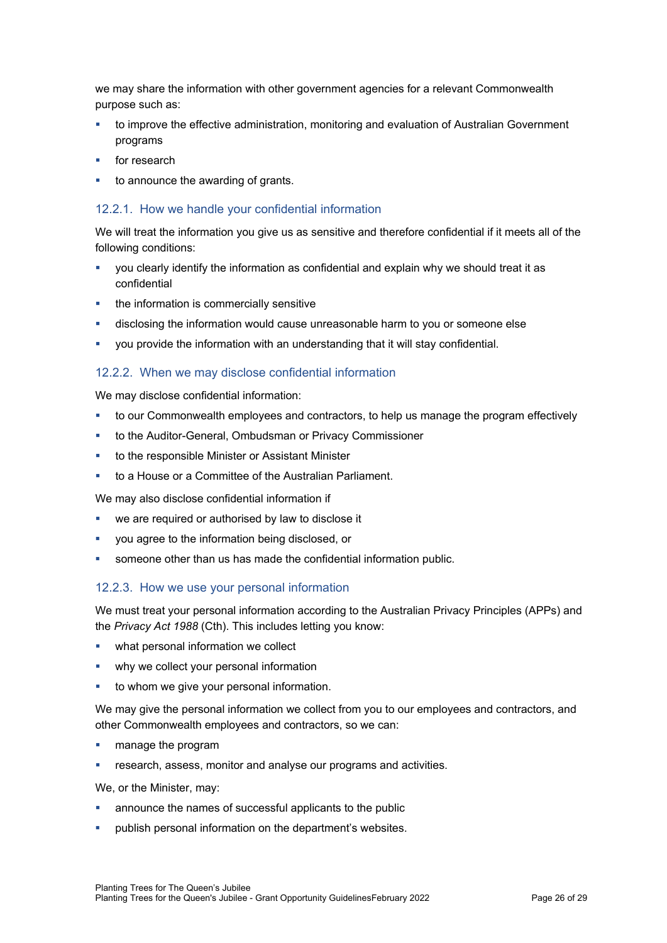we may share the information with other government agencies for a relevant Commonwealth purpose such as:

- to improve the effective administration, monitoring and evaluation of Australian Government programs
- for research
- to announce the awarding of grants.

#### <span id="page-25-0"></span>12.2.1. How we handle your confidential information

We will treat the information you give us as sensitive and therefore confidential if it meets all of the following conditions:

- you clearly identify the information as confidential and explain why we should treat it as confidential
- the information is commercially sensitive
- disclosing the information would cause unreasonable harm to you or someone else
- you provide the information with an understanding that it will stay confidential.

#### 12.2.2. When we may disclose confidential information

We may disclose confidential information:

- to our Commonwealth employees and contractors, to help us manage the program effectively
- to the Auditor-General, Ombudsman or Privacy Commissioner
- to the responsible Minister or Assistant Minister
- to a House or a Committee of the Australian Parliament.

We may also disclose confidential information if

- we are required or authorised by law to disclose it
- you agree to the information being disclosed, or
- someone other than us has made the confidential information public.

#### <span id="page-25-1"></span>12.2.3. How we use your personal information

We must treat your personal information according to the Australian Privacy Principles (APPs) and the *Privacy Act 1988* (Cth). This includes letting you know:

- what personal information we collect
- why we collect your personal information
- to whom we give your personal information.

We may give the personal information we collect from you to our employees and contractors, and other Commonwealth employees and contractors, so we can:

- manage the program
- **FILT** research, assess, monitor and analyse our programs and activities.

We, or the Minister, may:

- announce the names of successful applicants to the public
- publish personal information on the department's websites.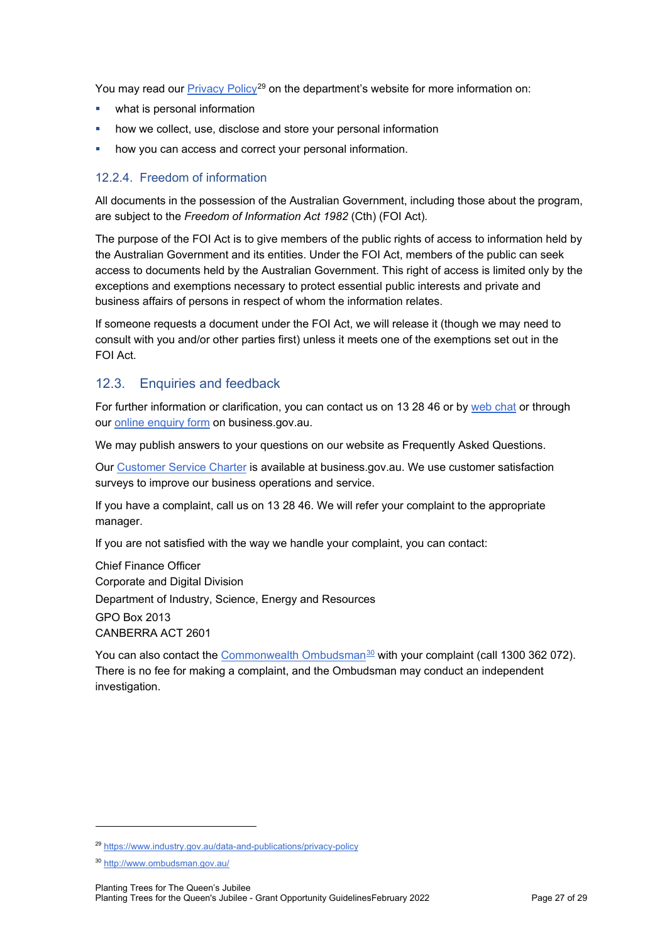You may read our [Privacy Policy](https://www.industry.gov.au/data-and-publications/privacy-policy)<sup>[29](#page-26-0)</sup> on the department's website for more information on:

- what is personal information
- how we collect, use, disclose and store your personal information
- **•** how you can access and correct your personal information.

#### 12.2.4. Freedom of information

All documents in the possession of the Australian Government, including those about the program, are subject to the *Freedom of Information Act 1982* (Cth) (FOI Act)*.*

The purpose of the FOI Act is to give members of the public rights of access to information held by the Australian Government and its entities. Under the FOI Act, members of the public can seek access to documents held by the Australian Government. This right of access is limited only by the exceptions and exemptions necessary to protect essential public interests and private and business affairs of persons in respect of whom the information relates.

If someone requests a document under the FOI Act, we will release it (though we may need to consult with you and/or other parties first) unless it meets one of the exemptions set out in the FOI Act.

#### 12.3. Enquiries and feedback

For further information or clarification, you can contact us on 13 28 46 or by [web chat](https://www.business.gov.au/contact-us) or through our [online enquiry form](http://www.business.gov.au/contact-us/Pages/default.aspx) on business.gov.au.

We may publish answers to your questions on our website as Frequently Asked Questions.

Our [Customer Service Charter](https://www.business.gov.au/about/customer-service-charter) is available at [business.gov.au.](http://www.business.gov.au/) We use customer satisfaction surveys to improve our business operations and service.

If you have a complaint, call us on 13 28 46. We will refer your complaint to the appropriate manager.

If you are not satisfied with the way we handle your complaint, you can contact:

Chief Finance Officer Corporate and Digital Division Department of Industry, Science, Energy and Resources GPO Box 2013 CANBERRA ACT 2601

You can also contact the [Commonwealth Ombudsman](http://www.ombudsman.gov.au/)<sup>[30](#page-26-1)</sup> with your complaint (call 1300 362 072). There is no fee for making a complaint, and the Ombudsman may conduct an independent investigation.

<span id="page-26-0"></span><sup>29</sup> <https://www.industry.gov.au/data-and-publications/privacy-policy>

<span id="page-26-1"></span><sup>30</sup> <http://www.ombudsman.gov.au/>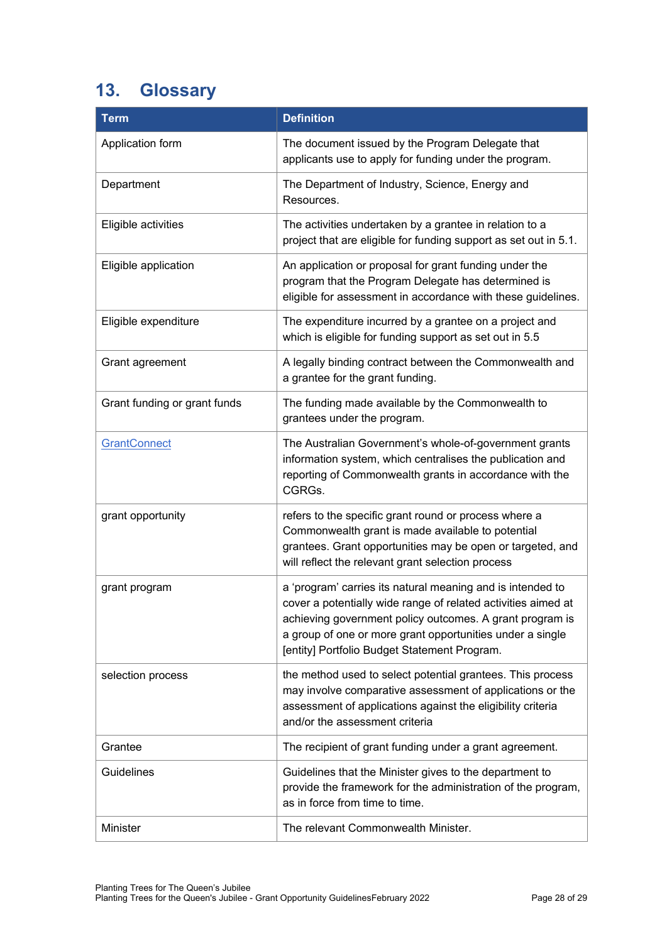# **13. Glossary**

| <b>Term</b>                  | <b>Definition</b>                                                                                                                                                                                                                                                                                    |
|------------------------------|------------------------------------------------------------------------------------------------------------------------------------------------------------------------------------------------------------------------------------------------------------------------------------------------------|
| Application form             | The document issued by the Program Delegate that<br>applicants use to apply for funding under the program.                                                                                                                                                                                           |
| Department                   | The Department of Industry, Science, Energy and<br>Resources.                                                                                                                                                                                                                                        |
| Eligible activities          | The activities undertaken by a grantee in relation to a<br>project that are eligible for funding support as set out in 5.1.                                                                                                                                                                          |
| Eligible application         | An application or proposal for grant funding under the<br>program that the Program Delegate has determined is<br>eligible for assessment in accordance with these guidelines.                                                                                                                        |
| Eligible expenditure         | The expenditure incurred by a grantee on a project and<br>which is eligible for funding support as set out in 5.5                                                                                                                                                                                    |
| Grant agreement              | A legally binding contract between the Commonwealth and<br>a grantee for the grant funding.                                                                                                                                                                                                          |
| Grant funding or grant funds | The funding made available by the Commonwealth to<br>grantees under the program.                                                                                                                                                                                                                     |
| <b>GrantConnect</b>          | The Australian Government's whole-of-government grants<br>information system, which centralises the publication and<br>reporting of Commonwealth grants in accordance with the<br>CGRGs.                                                                                                             |
| grant opportunity            | refers to the specific grant round or process where a<br>Commonwealth grant is made available to potential<br>grantees. Grant opportunities may be open or targeted, and<br>will reflect the relevant grant selection process                                                                        |
| grant program                | a 'program' carries its natural meaning and is intended to<br>cover a potentially wide range of related activities aimed at<br>achieving government policy outcomes. A grant program is<br>a group of one or more grant opportunities under a single<br>[entity] Portfolio Budget Statement Program. |
| selection process            | the method used to select potential grantees. This process<br>may involve comparative assessment of applications or the<br>assessment of applications against the eligibility criteria<br>and/or the assessment criteria                                                                             |
| Grantee                      | The recipient of grant funding under a grant agreement.                                                                                                                                                                                                                                              |
| <b>Guidelines</b>            | Guidelines that the Minister gives to the department to<br>provide the framework for the administration of the program,<br>as in force from time to time.                                                                                                                                            |
| Minister                     | The relevant Commonwealth Minister.                                                                                                                                                                                                                                                                  |